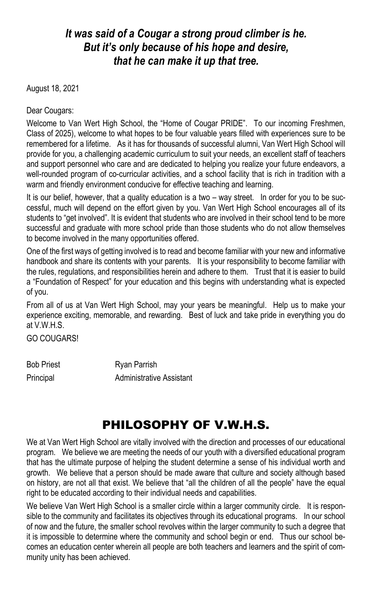## *It was said of a Cougar a strong proud climber is he. But it's only because of his hope and desire, that he can make it up that tree.*

August 18, 2021

Dear Cougars:

Welcome to Van Wert High School, the "Home of Cougar PRIDE". To our incoming Freshmen, Class of 2025), welcome to what hopes to be four valuable years filled with experiences sure to be remembered for a lifetime. As it has for thousands of successful alumni, Van Wert High School will provide for you, a challenging academic curriculum to suit your needs, an excellent staff of teachers and support personnel who care and are dedicated to helping you realize your future endeavors, a well-rounded program of co-curricular activities, and a school facility that is rich in tradition with a warm and friendly environment conducive for effective teaching and learning.

It is our belief, however, that a quality education is a two – way street. In order for you to be successful, much will depend on the effort given by you. Van Wert High School encourages all of its students to "get involved". It is evident that students who are involved in their school tend to be more successful and graduate with more school pride than those students who do not allow themselves to become involved in the many opportunities offered.

One of the first ways of getting involved is to read and become familiar with your new and informative handbook and share its contents with your parents. It is your responsibility to become familiar with the rules, regulations, and responsibilities herein and adhere to them. Trust that it is easier to build a "Foundation of Respect" for your education and this begins with understanding what is expected of you.

From all of us at Van Wert High School, may your years be meaningful. Help us to make your experience exciting, memorable, and rewarding. Best of luck and take pride in everything you do at V.W.H.S.

GO COUGARS!

Bob Priest **Ryan Parrish** Principal **Administrative Assistant** 

# PHILOSOPHY OF V.W.H.S.

We at Van Wert High School are vitally involved with the direction and processes of our educational program. We believe we are meeting the needs of our youth with a diversified educational program that has the ultimate purpose of helping the student determine a sense of his individual worth and growth. We believe that a person should be made aware that culture and society although based on history, are not all that exist. We believe that "all the children of all the people" have the equal right to be educated according to their individual needs and capabilities.

We believe Van Wert High School is a smaller circle within a larger community circle. It is responsible to the community and facilitates its objectives through its educational programs. In our school of now and the future, the smaller school revolves within the larger community to such a degree that it is impossible to determine where the community and school begin or end. Thus our school becomes an education center wherein all people are both teachers and learners and the spirit of community unity has been achieved.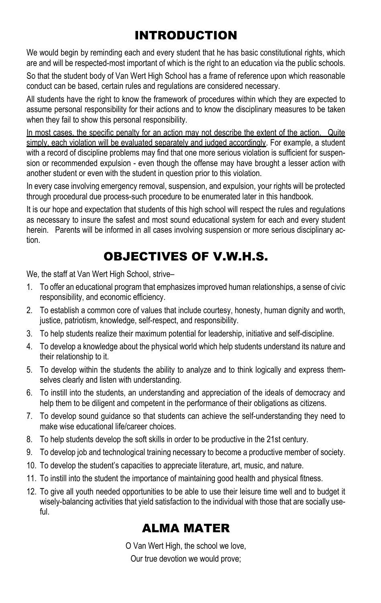# INTRODUCTION

We would begin by reminding each and every student that he has basic constitutional rights, which are and will be respected-most important of which is the right to an education via the public schools.

So that the student body of Van Wert High School has a frame of reference upon which reasonable conduct can be based, certain rules and regulations are considered necessary.

All students have the right to know the framework of procedures within which they are expected to assume personal responsibility for their actions and to know the disciplinary measures to be taken when they fail to show this personal responsibility.

In most cases, the specific penalty for an action may not describe the extent of the action. Quite simply, each violation will be evaluated separately and judged accordingly. For example, a student with a record of discipline problems may find that one more serious violation is sufficient for suspension or recommended expulsion - even though the offense may have brought a lesser action with another student or even with the student in question prior to this violation.

In every case involving emergency removal, suspension, and expulsion, your rights will be protected through procedural due process-such procedure to be enumerated later in this handbook.

It is our hope and expectation that students of this high school will respect the rules and regulations as necessary to insure the safest and most sound educational system for each and every student herein. Parents will be informed in all cases involving suspension or more serious disciplinary action.

# OBJECTIVES OF V.W.H.S.

We, the staff at Van Wert High School, strive–

- 1. To offer an educational program that emphasizes improved human relationships, a sense of civic responsibility, and economic efficiency.
- 2. To establish a common core of values that include courtesy, honesty, human dignity and worth, justice, patriotism, knowledge, self-respect, and responsibility.
- 3. To help students realize their maximum potential for leadership, initiative and self-discipline.
- 4. To develop a knowledge about the physical world which help students understand its nature and their relationship to it.
- 5. To develop within the students the ability to analyze and to think logically and express themselves clearly and listen with understanding.
- 6. To instill into the students, an understanding and appreciation of the ideals of democracy and help them to be diligent and competent in the performance of their obligations as citizens.
- 7. To develop sound guidance so that students can achieve the self-understanding they need to make wise educational life/career choices.
- 8. To help students develop the soft skills in order to be productive in the 21st century.
- 9. To develop job and technological training necessary to become a productive member of society.
- 10. To develop the student's capacities to appreciate literature, art, music, and nature.
- 11. To instill into the student the importance of maintaining good health and physical fitness.
- 12. To give all youth needed opportunities to be able to use their leisure time well and to budget it wisely-balancing activities that yield satisfaction to the individual with those that are socially useful.

## ALMA MATER

O Van Wert High, the school we love,

Our true devotion we would prove;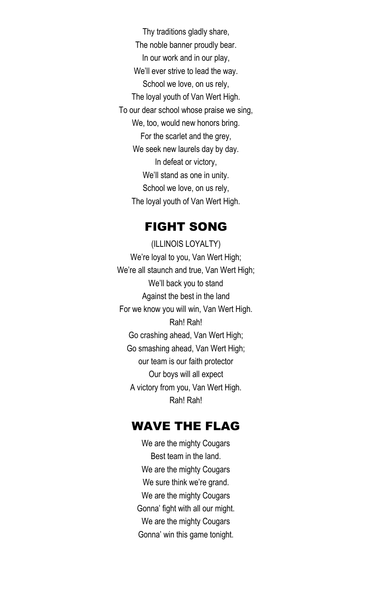Thy traditions gladly share, The noble banner proudly bear. In our work and in our play, We'll ever strive to lead the way. School we love, on us rely, The loyal youth of Van Wert High. To our dear school whose praise we sing, We, too, would new honors bring. For the scarlet and the grey, We seek new laurels day by day. In defeat or victory, We'll stand as one in unity. School we love, on us rely, The loyal youth of Van Wert High.

### FIGHT SONG

(ILLINOIS LOYALTY) We're loyal to you, Van Wert High; We're all staunch and true, Van Wert High; We'll back you to stand Against the best in the land For we know you will win, Van Wert High. Rah! Rah! Go crashing ahead, Van Wert High; Go smashing ahead, Van Wert High; our team is our faith protector Our boys will all expect A victory from you, Van Wert High. Rah! Rah!

## WAVE THE FLAG

We are the mighty Cougars Best team in the land. We are the mighty Cougars We sure think we're grand. We are the mighty Cougars Gonna' fight with all our might. We are the mighty Cougars Gonna' win this game tonight.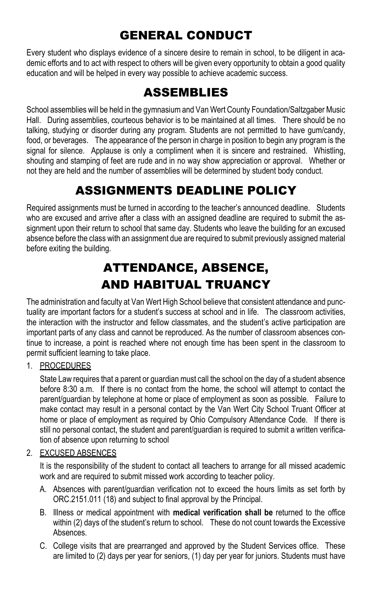# GENERAL CONDUCT

Every student who displays evidence of a sincere desire to remain in school, to be diligent in academic efforts and to act with respect to others will be given every opportunity to obtain a good quality education and will be helped in every way possible to achieve academic success.

## ASSEMBLIES

School assemblies will be held in the gymnasium and Van Wert County Foundation/Saltzgaber Music Hall. During assemblies, courteous behavior is to be maintained at all times. There should be no talking, studying or disorder during any program. Students are not permitted to have gum/candy, food, or beverages. The appearance of the person in charge in position to begin any program is the signal for silence. Applause is only a compliment when it is sincere and restrained. Whistling, shouting and stamping of feet are rude and in no way show appreciation or approval. Whether or not they are held and the number of assemblies will be determined by student body conduct.

# ASSIGNMENTS DEADLINE POLICY

Required assignments must be turned in according to the teacher's announced deadline. Students who are excused and arrive after a class with an assigned deadline are required to submit the assignment upon their return to school that same day. Students who leave the building for an excused absence before the class with an assignment due are required to submit previously assigned material before exiting the building.

# ATTENDANCE, ABSENCE, AND HABITUAL TRUANCY

The administration and faculty at Van Wert High School believe that consistent attendance and punctuality are important factors for a student's success at school and in life. The classroom activities, the interaction with the instructor and fellow classmates, and the student's active participation are important parts of any class and cannot be reproduced. As the number of classroom absences continue to increase, a point is reached where not enough time has been spent in the classroom to permit sufficient learning to take place.

### 1. PROCEDURES

State Law requires that a parent or guardian must call the school on the day of a student absence before 8:30 a.m. If there is no contact from the home, the school will attempt to contact the parent/guardian by telephone at home or place of employment as soon as possible. Failure to make contact may result in a personal contact by the Van Wert City School Truant Officer at home or place of employment as required by Ohio Compulsory Attendance Code. If there is still no personal contact, the student and parent/guardian is required to submit a written verification of absence upon returning to school

### 2. EXCUSED ABSENCES

It is the responsibility of the student to contact all teachers to arrange for all missed academic work and are required to submit missed work according to teacher policy.

- A. Absences with parent/guardian verification not to exceed the hours limits as set forth by ORC.2151.011 (18) and subject to final approval by the Principal.
- B. Illness or medical appointment with **medical verification shall be** returned to the office within (2) days of the student's return to school. These do not count towards the Excessive Absences.
- C. College visits that are prearranged and approved by the Student Services office. These are limited to (2) days per year for seniors, (1) day per year for juniors. Students must have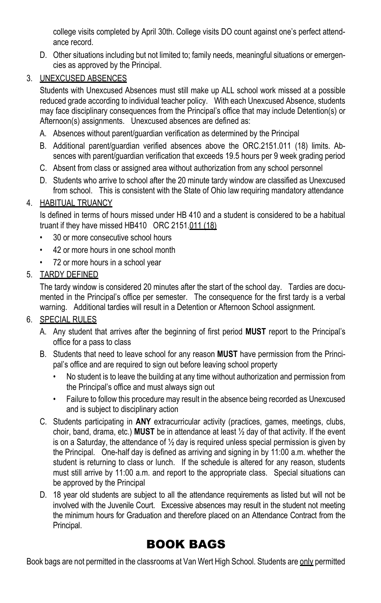college visits completed by April 30th. College visits DO count against one's perfect attendance record.

D. Other situations including but not limited to; family needs, meaningful situations or emergencies as approved by the Principal.

### 3. UNEXCUSED ABSENCES

Students with Unexcused Absences must still make up ALL school work missed at a possible reduced grade according to individual teacher policy. With each Unexcused Absence, students may face disciplinary consequences from the Principal's office that may include Detention(s) or Afternoon(s) assignments. Unexcused absences are defined as:

- A. Absences without parent/guardian verification as determined by the Principal
- B. Additional parent/guardian verified absences above the ORC.2151.011 (18) limits. Absences with parent/guardian verification that exceeds 19.5 hours per 9 week grading period
- C. Absent from class or assigned area without authorization from any school personnel
- D. Students who arrive to school after the 20 minute tardy window are classified as Unexcused from school. This is consistent with the State of Ohio law requiring mandatory attendance

### 4. HABITUAL TRUANCY

Is defined in terms of hours missed under HB 410 and a student is considered to be a habitual truant if they have missed HB410 ORC 2151.011 (18)

- 30 or more consecutive school hours
- 42 or more hours in one school month
- 72 or more hours in a school year
- 5. TARDY DEFINED

The tardy window is considered 20 minutes after the start of the school day. Tardies are documented in the Principal's office per semester. The consequence for the first tardy is a verbal warning. Additional tardies will result in a Detention or Afternoon School assignment.

### 6. SPECIAL RULES

- A. Any student that arrives after the beginning of first period **MUST** report to the Principal's office for a pass to class
- B. Students that need to leave school for any reason **MUST** have permission from the Principal's office and are required to sign out before leaving school property
	- No student is to leave the building at any time without authorization and permission from the Principal's office and must always sign out
	- Failure to follow this procedure may result in the absence being recorded as Unexcused and is subject to disciplinary action
- C. Students participating in **ANY** extracurricular activity (practices, games, meetings, clubs, choir, band, drama, etc.) **MUST** be in attendance at least ½ day of that activity. If the event is on a Saturday, the attendance of  $\frac{1}{2}$  day is required unless special permission is given by the Principal. One-half day is defined as arriving and signing in by 11:00 a.m. whether the student is returning to class or lunch. If the schedule is altered for any reason, students must still arrive by 11:00 a.m. and report to the appropriate class. Special situations can be approved by the Principal
- D. 18 year old students are subject to all the attendance requirements as listed but will not be involved with the Juvenile Court. Excessive absences may result in the student not meeting the minimum hours for Graduation and therefore placed on an Attendance Contract from the Principal.

# BOOK BAGS

Book bags are not permitted in the classrooms at Van Wert High School. Students are only permitted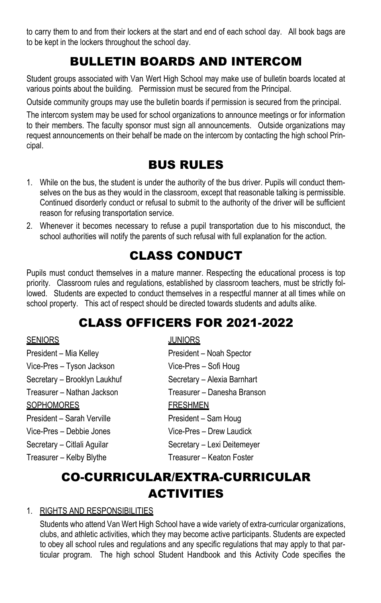to carry them to and from their lockers at the start and end of each school day. All book bags are to be kept in the lockers throughout the school day.

## BULLETIN BOARDS AND INTERCOM

Student groups associated with Van Wert High School may make use of bulletin boards located at various points about the building. Permission must be secured from the Principal.

Outside community groups may use the bulletin boards if permission is secured from the principal.

The intercom system may be used for school organizations to announce meetings or for information to their members. The faculty sponsor must sign all announcements. Outside organizations may request announcements on their behalf be made on the intercom by contacting the high school Principal.

## BUS RULES

- 1. While on the bus, the student is under the authority of the bus driver. Pupils will conduct themselves on the bus as they would in the classroom, except that reasonable talking is permissible. Continued disorderly conduct or refusal to submit to the authority of the driver will be sufficient reason for refusing transportation service.
- 2. Whenever it becomes necessary to refuse a pupil transportation due to his misconduct, the school authorities will notify the parents of such refusal with full explanation for the action.

## CLASS CONDUCT

Pupils must conduct themselves in a mature manner. Respecting the educational process is top priority. Classroom rules and regulations, established by classroom teachers, must be strictly followed. Students are expected to conduct themselves in a respectful manner at all times while on school property. This act of respect should be directed towards students and adults alike.

## CLASS OFFICERS FOR 2021-2022

### SENIORS JUNIORS

| President - Mia Kelley       | President - Noah Spector    |
|------------------------------|-----------------------------|
| Vice-Pres - Tyson Jackson    | Vice-Pres - Sofi Houg       |
| Secretary - Brooklyn Laukhuf | Secretary - Alexia Barnhart |
| Treasurer – Nathan Jackson   | Treasurer – Danesha Branson |
| <b>SOPHOMORES</b>            | <b>FRESHMEN</b>             |
| President - Sarah Verville   | President - Sam Houg        |
| Vice-Pres – Debbie Jones     | Vice-Pres - Drew Laudick    |
| Secretary - Citlali Aguilar  | Secretary - Lexi Deitemeyer |
| Treasurer - Kelby Blythe     | Treasurer - Keaton Foster   |
|                              |                             |

## CO-CURRICULAR/EXTRA-CURRICULAR ACTIVITIES

#### 1. RIGHTS AND RESPONSIBILITIES

Students who attend Van Wert High School have a wide variety of extra-curricular organizations, clubs, and athletic activities, which they may become active participants. Students are expected to obey all school rules and regulations and any specific regulations that may apply to that particular program. The high school Student Handbook and this Activity Code specifies the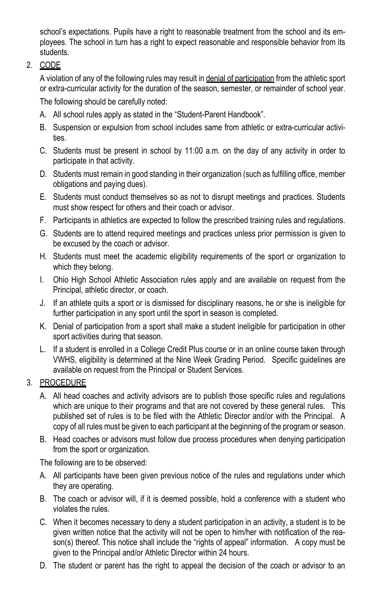school's expectations. Pupils have a right to reasonable treatment from the school and its employees. The school in turn has a right to expect reasonable and responsible behavior from its students.

2. CODE

A violation of any of the following rules may result in denial of participation from the athletic sport or extra-curricular activity for the duration of the season, semester, or remainder of school year. The following should be carefully noted:

- A. All school rules apply as stated in the "Student-Parent Handbook".
- B. Suspension or expulsion from school includes same from athletic or extra-curricular activities.
- C. Students must be present in school by 11:00 a.m. on the day of any activity in order to participate in that activity.
- D. Students must remain in good standing in their organization (such as fulfilling office, member obligations and paying dues).
- E. Students must conduct themselves so as not to disrupt meetings and practices. Students must show respect for others and their coach or advisor.
- F. Participants in athletics are expected to follow the prescribed training rules and regulations.
- G. Students are to attend required meetings and practices unless prior permission is given to be excused by the coach or advisor.
- H. Students must meet the academic eligibility requirements of the sport or organization to which they belong.
- I. Ohio High School Athletic Association rules apply and are available on request from the Principal, athletic director, or coach.
- J. If an athlete quits a sport or is dismissed for disciplinary reasons, he or she is ineligible for further participation in any sport until the sport in season is completed.
- K. Denial of participation from a sport shall make a student ineligible for participation in other sport activities during that season.
- L. If a student is enrolled in a College Credit Plus course or in an online course taken through VWHS, eligibility is determined at the Nine Week Grading Period. Specific guidelines are available on request from the Principal or Student Services.

### 3. PROCEDURE

- A. All head coaches and activity advisors are to publish those specific rules and regulations which are unique to their programs and that are not covered by these general rules. This published set of rules is to be filed with the Athletic Director and/or with the Principal. A copy of all rules must be given to each participant at the beginning of the program or season.
- B. Head coaches or advisors must follow due process procedures when denying participation from the sport or organization.

The following are to be observed:

- A. All participants have been given previous notice of the rules and regulations under which they are operating.
- B. The coach or advisor will, if it is deemed possible, hold a conference with a student who violates the rules.
- C. When it becomes necessary to deny a student participation in an activity, a student is to be given written notice that the activity will not be open to him/her with notification of the reason(s) thereof. This notice shall include the "rights of appeal" information. A copy must be given to the Principal and/or Athletic Director within 24 hours.
- D. The student or parent has the right to appeal the decision of the coach or advisor to an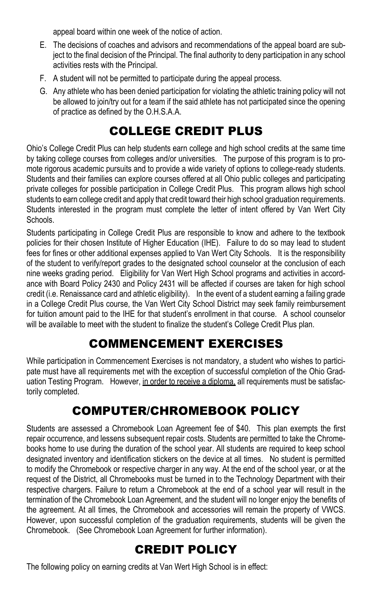appeal board within one week of the notice of action.

- E. The decisions of coaches and advisors and recommendations of the appeal board are subject to the final decision of the Principal. The final authority to deny participation in any school activities rests with the Principal.
- F. A student will not be permitted to participate during the appeal process.
- G. Any athlete who has been denied participation for violating the athletic training policy will not be allowed to join/try out for a team if the said athlete has not participated since the opening of practice as defined by the O.H.S.A.A.

## COLLEGE CREDIT PLUS

Ohio's College Credit Plus can help students earn college and high school credits at the same time by taking college courses from colleges and/or universities. The purpose of this program is to promote rigorous academic pursuits and to provide a wide variety of options to college-ready students. Students and their families can explore courses offered at all Ohio public colleges and participating private colleges for possible participation in College Credit Plus. This program allows high school students to earn college credit and apply that credit toward their high school graduation requirements. Students interested in the program must complete the letter of intent offered by Van Wert City **Schools** 

Students participating in College Credit Plus are responsible to know and adhere to the textbook policies for their chosen Institute of Higher Education (IHE). Failure to do so may lead to student fees for fines or other additional expenses applied to Van Wert City Schools. It is the responsibility of the student to verify/report grades to the designated school counselor at the conclusion of each nine weeks grading period. Eligibility for Van Wert High School programs and activities in accordance with Board Policy 2430 and Policy 2431 will be affected if courses are taken for high school credit (i.e. Renaissance card and athletic eligibility). In the event of a student earning a failing grade in a College Credit Plus course, the Van Wert City School District may seek family reimbursement for tuition amount paid to the IHE for that student's enrollment in that course. A school counselor will be available to meet with the student to finalize the student's College Credit Plus plan.

## COMMENCEMENT EXERCISES

While participation in Commencement Exercises is not mandatory, a student who wishes to participate must have all requirements met with the exception of successful completion of the Ohio Graduation Testing Program. However, in order to receive a diploma, all requirements must be satisfactorily completed.

## COMPUTER/CHROMEBOOK POLICY

Students are assessed a Chromebook Loan Agreement fee of \$40. This plan exempts the first repair occurrence, and lessens subsequent repair costs. Students are permitted to take the Chromebooks home to use during the duration of the school year. All students are required to keep school designated inventory and identification stickers on the device at all times. No student is permitted to modify the Chromebook or respective charger in any way. At the end of the school year, or at the request of the District, all Chromebooks must be turned in to the Technology Department with their respective chargers. Failure to return a Chromebook at the end of a school year will result in the termination of the Chromebook Loan Agreement, and the student will no longer enjoy the benefits of the agreement. At all times, the Chromebook and accessories will remain the property of VWCS. However, upon successful completion of the graduation requirements, students will be given the Chromebook. (See Chromebook Loan Agreement for further information).

## CREDIT POLICY

The following policy on earning credits at Van Wert High School is in effect: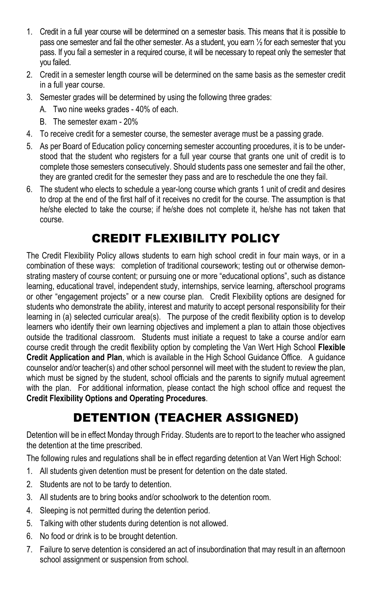- 1. Credit in a full year course will be determined on a semester basis. This means that it is possible to pass one semester and fail the other semester. As a student, you earn ½ for each semester that you pass. If you fail a semester in a required course, it will be necessary to repeat only the semester that you failed.
- 2. Credit in a semester length course will be determined on the same basis as the semester credit in a full year course.
- 3. Semester grades will be determined by using the following three grades:
	- A. Two nine weeks grades 40% of each.
	- B. The semester exam 20%
- 4. To receive credit for a semester course, the semester average must be a passing grade.
- 5. As per Board of Education policy concerning semester accounting procedures, it is to be understood that the student who registers for a full year course that grants one unit of credit is to complete those semesters consecutively. Should students pass one semester and fail the other, they are granted credit for the semester they pass and are to reschedule the one they fail.
- 6. The student who elects to schedule a year-long course which grants 1 unit of credit and desires to drop at the end of the first half of it receives no credit for the course. The assumption is that he/she elected to take the course; if he/she does not complete it, he/she has not taken that course.

# CREDIT FLEXIBILITY POLICY

The Credit Flexibility Policy allows students to earn high school credit in four main ways, or in a combination of these ways: completion of traditional coursework; testing out or otherwise demonstrating mastery of course content; or pursuing one or more "educational options", such as distance learning, educational travel, independent study, internships, service learning, afterschool programs or other "engagement projects" or a new course plan. Credit Flexibility options are designed for students who demonstrate the ability, interest and maturity to accept personal responsibility for their learning in (a) selected curricular area(s). The purpose of the credit flexibility option is to develop learners who identify their own learning objectives and implement a plan to attain those objectives outside the traditional classroom. Students must initiate a request to take a course and/or earn course credit through the credit flexibility option by completing the Van Wert High School **Flexible Credit Application and Plan**, which is available in the High School Guidance Office. A guidance counselor and/or teacher(s) and other school personnel will meet with the student to review the plan, which must be signed by the student, school officials and the parents to signify mutual agreement with the plan. For additional information, please contact the high school office and request the **Credit Flexibility Options and Operating Procedures**.

# DETENTION (TEACHER ASSIGNED)

Detention will be in effect Monday through Friday. Students are to report to the teacher who assigned the detention at the time prescribed.

The following rules and regulations shall be in effect regarding detention at Van Wert High School:

- 1. All students given detention must be present for detention on the date stated.
- 2. Students are not to be tardy to detention.
- 3. All students are to bring books and/or schoolwork to the detention room.
- 4. Sleeping is not permitted during the detention period.
- 5. Talking with other students during detention is not allowed.
- 6. No food or drink is to be brought detention.
- 7. Failure to serve detention is considered an act of insubordination that may result in an afternoon school assignment or suspension from school.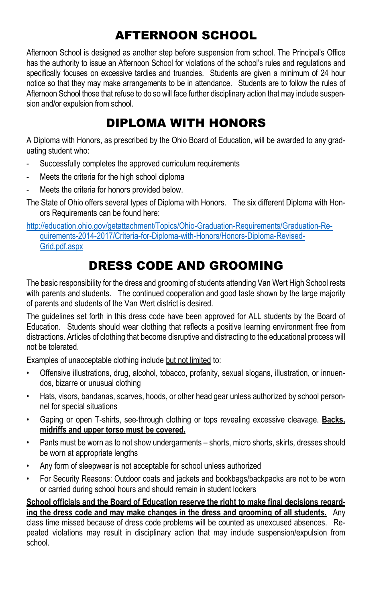# AFTERNOON SCHOOL

Afternoon School is designed as another step before suspension from school. The Principal's Office has the authority to issue an Afternoon School for violations of the school's rules and regulations and specifically focuses on excessive tardies and truancies. Students are given a minimum of 24 hour notice so that they may make arrangements to be in attendance. Students are to follow the rules of Afternoon School those that refuse to do so will face further disciplinary action that may include suspension and/or expulsion from school.

## DIPLOMA WITH HONORS

A Diploma with Honors, as prescribed by the Ohio Board of Education, will be awarded to any graduating student who:

- Successfully completes the approved curriculum requirements
- Meets the criteria for the high school diploma
- Meets the criteria for honors provided below.
- The State of Ohio offers several types of Diploma with Honors. The six different Diploma with Honors Requirements can be found here:

[http://education.ohio.gov/getattachment/Topics/Ohio-Graduation-Requirements/Graduation-Re](http://education.ohio.gov/getattachment/Topics/Ohio-Graduation-Requirements/Graduation-Requirements-2014-2017/Criteria-for-Diploma-with-Honors/Honors-Diploma-Revised-Grid.pdf.aspx)[quirements-2014-2017/Criteria-for-Diploma-with-Honors/Honors-Diploma-Revised-](http://education.ohio.gov/getattachment/Topics/Ohio-Graduation-Requirements/Graduation-Requirements-2014-2017/Criteria-for-Diploma-with-Honors/Honors-Diploma-Revised-Grid.pdf.aspx)[Grid.pdf.aspx](http://education.ohio.gov/getattachment/Topics/Ohio-Graduation-Requirements/Graduation-Requirements-2014-2017/Criteria-for-Diploma-with-Honors/Honors-Diploma-Revised-Grid.pdf.aspx)

# DRESS CODE AND GROOMING

The basic responsibility for the dress and grooming of students attending Van Wert High School rests with parents and students. The continued cooperation and good taste shown by the large majority of parents and students of the Van Wert district is desired.

The guidelines set forth in this dress code have been approved for ALL students by the Board of Education. Students should wear clothing that reflects a positive learning environment free from distractions. Articles of clothing that become disruptive and distracting to the educational process will not be tolerated.

Examples of unacceptable clothing include but not limited to:

- Offensive illustrations, drug, alcohol, tobacco, profanity, sexual slogans, illustration, or innuendos, bizarre or unusual clothing
- Hats, visors, bandanas, scarves, hoods, or other head gear unless authorized by school personnel for special situations
- Gaping or open T-shirts, see-through clothing or tops revealing excessive cleavage. **Backs, midriffs and upper torso must be covered.**
- Pants must be worn as to not show undergarments shorts, micro shorts, skirts, dresses should be worn at appropriate lengths
- Any form of sleepwear is not acceptable for school unless authorized
- For Security Reasons: Outdoor coats and jackets and bookbags/backpacks are not to be worn or carried during school hours and should remain in student lockers

School officials and the Board of Education reserve the right to make final decisions regard**ing the dress code and may make changes in the dress and grooming of all students.** Any

class time missed because of dress code problems will be counted as unexcused absences. Repeated violations may result in disciplinary action that may include suspension/expulsion from school.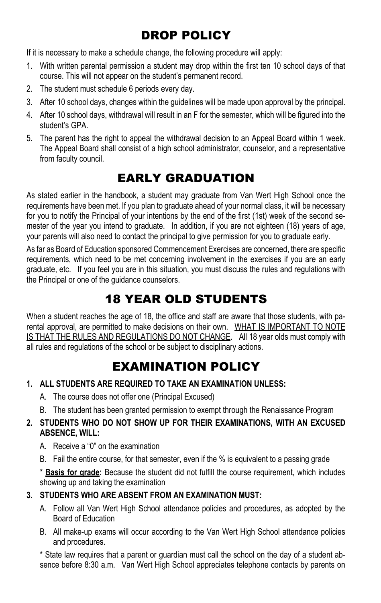# DROP POLICY

If it is necessary to make a schedule change, the following procedure will apply:

- 1. With written parental permission a student may drop within the first ten 10 school days of that course. This will not appear on the student's permanent record.
- 2. The student must schedule 6 periods every day.
- 3. After 10 school days, changes within the guidelines will be made upon approval by the principal.
- 4. After 10 school days, withdrawal will result in an F for the semester, which will be figured into the student's GPA.
- 5. The parent has the right to appeal the withdrawal decision to an Appeal Board within 1 week. The Appeal Board shall consist of a high school administrator, counselor, and a representative from faculty council.

## EARLY GRADUATION

As stated earlier in the handbook, a student may graduate from Van Wert High School once the requirements have been met. If you plan to graduate ahead of your normal class, it will be necessary for you to notify the Principal of your intentions by the end of the first (1st) week of the second semester of the year you intend to graduate. In addition, if you are not eighteen (18) years of age, your parents will also need to contact the principal to give permission for you to graduate early.

As far as Board of Education sponsored Commencement Exercises are concerned, there are specific requirements, which need to be met concerning involvement in the exercises if you are an early graduate, etc. If you feel you are in this situation, you must discuss the rules and regulations with the Principal or one of the guidance counselors.

## 18 YEAR OLD STUDENTS

When a student reaches the age of 18, the office and staff are aware that those students, with parental approval, are permitted to make decisions on their own. WHAT IS IMPORTANT TO NOTE IS THAT THE RULES AND REGULATIONS DO NOT CHANGE. All 18 year olds must comply with all rules and regulations of the school or be subject to disciplinary actions.

## EXAMINATION POLICY

- **1. ALL STUDENTS ARE REQUIRED TO TAKE AN EXAMINATION UNLESS:**
	- A. The course does not offer one (Principal Excused)
	- B. The student has been granted permission to exempt through the Renaissance Program

#### **2. STUDENTS WHO DO NOT SHOW UP FOR THEIR EXAMINATIONS, WITH AN EXCUSED ABSENCE, WILL:**

- A. Receive a "0" on the examination
- B. Fail the entire course, for that semester, even if the % is equivalent to a passing grade

\* **Basis for grade:** Because the student did not fulfill the course requirement, which includes showing up and taking the examination

### **3. STUDENTS WHO ARE ABSENT FROM AN EXAMINATION MUST:**

- A. Follow all Van Wert High School attendance policies and procedures, as adopted by the Board of Education
- B. All make-up exams will occur according to the Van Wert High School attendance policies and procedures.

\* State law requires that a parent or guardian must call the school on the day of a student absence before 8:30 a.m. Van Wert High School appreciates telephone contacts by parents on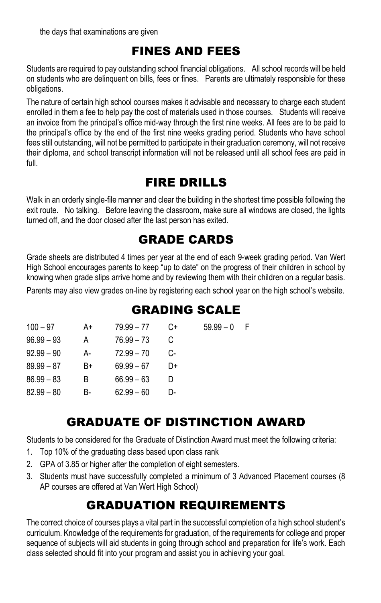# FINES AND FEES

Students are required to pay outstanding school financial obligations. All school records will be held on students who are delinquent on bills, fees or fines. Parents are ultimately responsible for these obligations.

The nature of certain high school courses makes it advisable and necessary to charge each student enrolled in them a fee to help pay the cost of materials used in those courses. Students will receive an invoice from the principal's office mid-way through the first nine weeks. All fees are to be paid to the principal's office by the end of the first nine weeks grading period. Students who have school fees still outstanding, will not be permitted to participate in their graduation ceremony, will not receive their diploma, and school transcript information will not be released until all school fees are paid in full.

## FIRE DRILLS

Walk in an orderly single-file manner and clear the building in the shortest time possible following the exit route. No talking. Before leaving the classroom, make sure all windows are closed, the lights turned off, and the door closed after the last person has exited.

## GRADE CARDS

Grade sheets are distributed 4 times per year at the end of each 9-week grading period. Van Wert High School encourages parents to keep "up to date" on the progress of their children in school by knowing when grade slips arrive home and by reviewing them with their children on a regular basis.

Parents may also view grades on-line by registering each school year on the high school's website.

## GRADING SCALE

| $100 - 97$   | A+ | $79.99 - 77$ | C+ | $59.99 - 0$ | – F |
|--------------|----|--------------|----|-------------|-----|
| $96.99 - 93$ | A  | 76.99 - 73   |    |             |     |
| $92.99 - 90$ | А- | $72.99 - 70$ | C- |             |     |
| $89.99 - 87$ | B+ | $69.99 - 67$ | D+ |             |     |
| $86.99 - 83$ | B  | $66.99 - 63$ | D  |             |     |
| $82.99 - 80$ | B- | $62.99 - 60$ | D- |             |     |

## GRADUATE OF DISTINCTION AWARD

Students to be considered for the Graduate of Distinction Award must meet the following criteria:

- 1. Top 10% of the graduating class based upon class rank
- 2. GPA of 3.85 or higher after the completion of eight semesters.
- 3. Students must have successfully completed a minimum of 3 Advanced Placement courses (8 AP courses are offered at Van Wert High School)

# GRADUATION REQUIREMENTS

The correct choice of courses plays a vital part in the successful completion of a high school student's curriculum. Knowledge of the requirements for graduation, of the requirements for college and proper sequence of subjects will aid students in going through school and preparation for life's work. Each class selected should fit into your program and assist you in achieving your goal.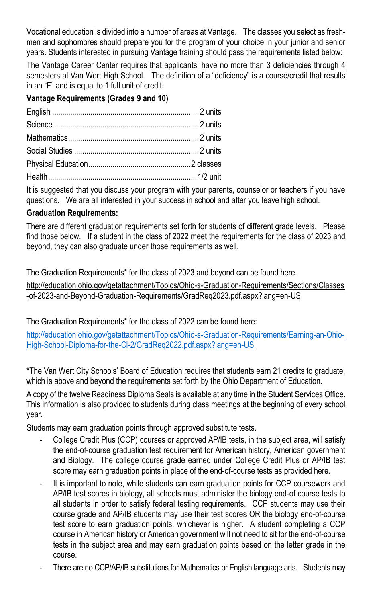Vocational education is divided into a number of areas at Vantage. The classes you select as freshmen and sophomores should prepare you for the program of your choice in your junior and senior years. Students interested in pursuing Vantage training should pass the requirements listed below:

The Vantage Career Center requires that applicants' have no more than 3 deficiencies through 4 semesters at Van Wert High School. The definition of a "deficiency" is a course/credit that results in an "F" and is equal to 1 full unit of credit.

### **Vantage Requirements (Grades 9 and 10)**

It is suggested that you discuss your program with your parents, counselor or teachers if you have questions. We are all interested in your success in school and after you leave high school.

#### **Graduation Requirements:**

There are different graduation requirements set forth for students of different grade levels. Please find those below. If a student in the class of 2022 meet the requirements for the class of 2023 and beyond, they can also graduate under those requirements as well.

The Graduation Requirements\* for the class of 2023 and beyond can be found here.

http://education.ohio.gov/getattachment/Topics/Ohio-s-Graduation-Requirements/Sections/Classes -of-2023-and-Beyond-Graduation-Requirements/GradReq2023.pdf.aspx?lang=en-US

The Graduation Requirements\* for the class of 2022 can be found here:

[http://education.ohio.gov/getattachment/Topics/Ohio-s-Graduation-Requirements/Earning-an-Ohio-](http://education.ohio.gov/getattachment/Topics/Ohio-s-Graduation-Requirements/Earning-an-Ohio-High-School-Diploma-for-the-Cl-2/GradReq2022.pdf.aspx?lang=en-US)[High-School-Diploma-for-the-Cl-2/GradReq2022.pdf.aspx?lang=en-US](http://education.ohio.gov/getattachment/Topics/Ohio-s-Graduation-Requirements/Earning-an-Ohio-High-School-Diploma-for-the-Cl-2/GradReq2022.pdf.aspx?lang=en-US)

\*The Van Wert City Schools' Board of Education requires that students earn 21 credits to graduate, which is above and beyond the requirements set forth by the Ohio Department of Education.

A copy of the twelve Readiness Diploma Seals is available at any time in the Student Services Office. This information is also provided to students during class meetings at the beginning of every school year.

Students may earn graduation points through approved substitute tests.

- College Credit Plus (CCP) courses or approved AP/IB tests, in the subject area, will satisfy the end-of-course graduation test requirement for American history, American government and Biology. The college course grade earned under College Credit Plus or AP/IB test score may earn graduation points in place of the end-of-course tests as provided here.
- It is important to note, while students can earn graduation points for CCP coursework and AP/IB test scores in biology, all schools must administer the biology end-of course tests to all students in order to satisfy federal testing requirements. CCP students may use their course grade and AP/IB students may use their test scores OR the biology end-of-course test score to earn graduation points, whichever is higher. A student completing a CCP course in American history or American government will not need to sit for the end-of-course tests in the subject area and may earn graduation points based on the letter grade in the course.
- There are no CCP/AP/IB substitutions for Mathematics or English language arts. Students may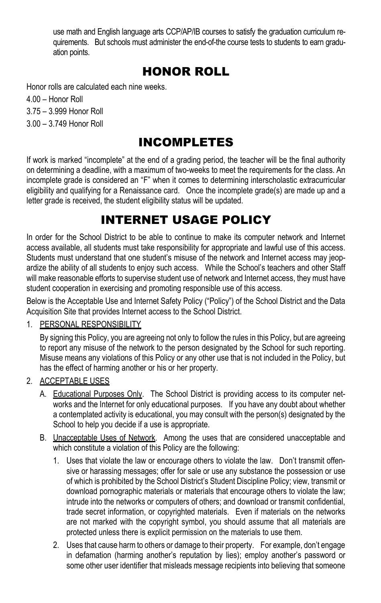use math and English language arts CCP/AP/IB courses to satisfy the graduation curriculum requirements. But schools must administer the end-of-the course tests to students to earn graduation points.

## HONOR ROLL

Honor rolls are calculated each nine weeks.

- 4.00 Honor Roll
- 3.75 3.999 Honor Roll
- 3.00 3.749 Honor Roll

## INCOMPLETES

If work is marked "incomplete" at the end of a grading period, the teacher will be the final authority on determining a deadline, with a maximum of two-weeks to meet the requirements for the class. An incomplete grade is considered an "F" when it comes to determining interscholastic extracurricular eligibility and qualifying for a Renaissance card. Once the incomplete grade(s) are made up and a letter grade is received, the student eligibility status will be updated.

## INTERNET USAGE POLICY

In order for the School District to be able to continue to make its computer network and Internet access available, all students must take responsibility for appropriate and lawful use of this access. Students must understand that one student's misuse of the network and Internet access may jeopardize the ability of all students to enjoy such access. While the School's teachers and other Staff will make reasonable efforts to supervise student use of network and Internet access, they must have student cooperation in exercising and promoting responsible use of this access.

Below is the Acceptable Use and Internet Safety Policy ("Policy") of the School District and the Data Acquisition Site that provides Internet access to the School District.

#### 1. PERSONAL RESPONSIBILITY

By signing this Policy, you are agreeing not only to follow the rules in this Policy, but are agreeing to report any misuse of the network to the person designated by the School for such reporting. Misuse means any violations of this Policy or any other use that is not included in the Policy, but has the effect of harming another or his or her property.

### 2. ACCEPTABLE USES

- A. Educational Purposes Only. The School District is providing access to its computer networks and the Internet for only educational purposes. If you have any doubt about whether a contemplated activity is educational, you may consult with the person(s) designated by the School to help you decide if a use is appropriate.
- B. Unacceptable Uses of Network. Among the uses that are considered unacceptable and which constitute a violation of this Policy are the following:
	- 1. Uses that violate the law or encourage others to violate the law. Don't transmit offensive or harassing messages; offer for sale or use any substance the possession or use of which is prohibited by the School District's Student Discipline Policy; view, transmit or download pornographic materials or materials that encourage others to violate the law; intrude into the networks or computers of others; and download or transmit confidential, trade secret information, or copyrighted materials. Even if materials on the networks are not marked with the copyright symbol, you should assume that all materials are protected unless there is explicit permission on the materials to use them.
	- 2. Uses that cause harm to others or damage to their property. For example, don't engage in defamation (harming another's reputation by lies); employ another's password or some other user identifier that misleads message recipients into believing that someone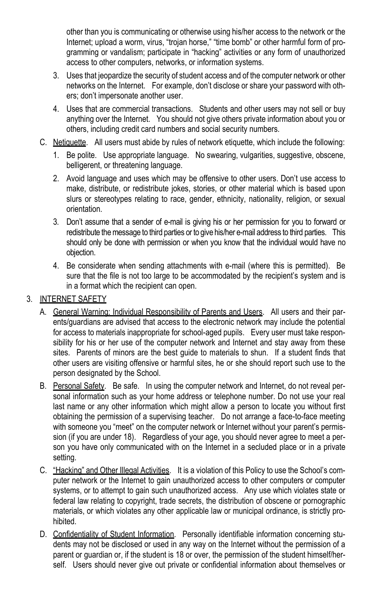other than you is communicating or otherwise using his/her access to the network or the Internet; upload a worm, virus, "troian horse," "time bomb" or other harmful form of programming or vandalism; participate in "hacking" activities or any form of unauthorized access to other computers, networks, or information systems.

- 3. Uses that jeopardize the security of student access and of the computer network or other networks on the Internet. For example, don't disclose or share your password with others; don't impersonate another user.
- 4. Uses that are commercial transactions. Students and other users may not sell or buy anything over the Internet. You should not give others private information about you or others, including credit card numbers and social security numbers.
- C. Netiquette. All users must abide by rules of network etiquette, which include the following:
	- 1. Be polite. Use appropriate language. No swearing, vulgarities, suggestive, obscene, belligerent, or threatening language.
	- 2. Avoid language and uses which may be offensive to other users. Don't use access to make, distribute, or redistribute jokes, stories, or other material which is based upon slurs or stereotypes relating to race, gender, ethnicity, nationality, religion, or sexual orientation.
	- 3. Don't assume that a sender of e-mail is giving his or her permission for you to forward or redistribute the message to third parties or to give his/her e-mail address to third parties. This should only be done with permission or when you know that the individual would have no objection.
	- 4. Be considerate when sending attachments with e-mail (where this is permitted). Be sure that the file is not too large to be accommodated by the recipient's system and is in a format which the recipient can open.

#### 3. INTERNET SAFETY

- A. General Warning: Individual Responsibility of Parents and Users. All users and their parents/guardians are advised that access to the electronic network may include the potential for access to materials inappropriate for school-aged pupils. Every user must take responsibility for his or her use of the computer network and Internet and stay away from these sites. Parents of minors are the best guide to materials to shun. If a student finds that other users are visiting offensive or harmful sites, he or she should report such use to the person designated by the School.
- B. Personal Safety. Be safe. In using the computer network and Internet, do not reveal personal information such as your home address or telephone number. Do not use your real last name or any other information which might allow a person to locate you without first obtaining the permission of a supervising teacher. Do not arrange a face-to-face meeting with someone you "meet" on the computer network or Internet without your parent's permission (if you are under 18). Regardless of your age, you should never agree to meet a person you have only communicated with on the Internet in a secluded place or in a private setting.
- C. "Hacking" and Other Illegal Activities. It is a violation of this Policy to use the School's computer network or the Internet to gain unauthorized access to other computers or computer systems, or to attempt to gain such unauthorized access. Any use which violates state or federal law relating to copyright, trade secrets, the distribution of obscene or pornographic materials, or which violates any other applicable law or municipal ordinance, is strictly prohibited.
- D. Confidentiality of Student Information. Personally identifiable information concerning students may not be disclosed or used in any way on the Internet without the permission of a parent or guardian or, if the student is 18 or over, the permission of the student himself/herself. Users should never give out private or confidential information about themselves or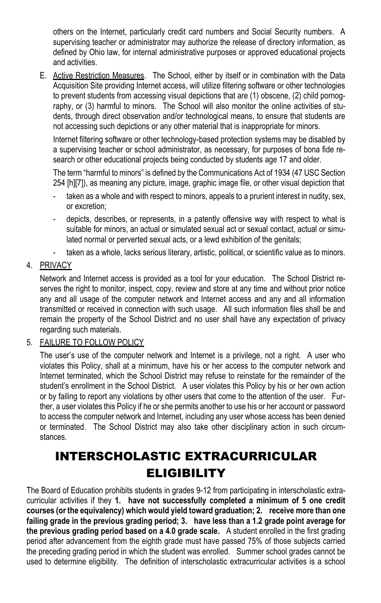others on the Internet, particularly credit card numbers and Social Security numbers. A supervising teacher or administrator may authorize the release of directory information, as defined by Ohio law, for internal administrative purposes or approved educational projects and activities.

E. Active Restriction Measures. The School, either by itself or in combination with the Data Acquisition Site providing Internet access, will utilize filtering software or other technologies to prevent students from accessing visual depictions that are (1) obscene, (2) child pornography, or (3) harmful to minors. The School will also monitor the online activities of students, through direct observation and/or technological means, to ensure that students are not accessing such depictions or any other material that is inappropriate for minors.

Internet filtering software or other technology-based protection systems may be disabled by a supervising teacher or school administrator, as necessary, for purposes of bona fide research or other educational projects being conducted by students age 17 and older.

The term "harmful to minors" is defined by the Communications Act of 1934 (47 USC Section 254 [h][7]), as meaning any picture, image, graphic image file, or other visual depiction that

- taken as a whole and with respect to minors, appeals to a prurient interest in nudity, sex, or excretion;
- depicts, describes, or represents, in a patently offensive way with respect to what is suitable for minors, an actual or simulated sexual act or sexual contact, actual or simulated normal or perverted sexual acts, or a lewd exhibition of the genitals;
- taken as a whole, lacks serious literary, artistic, political, or scientific value as to minors.

#### 4. PRIVACY

Network and Internet access is provided as a tool for your education. The School District reserves the right to monitor, inspect, copy, review and store at any time and without prior notice any and all usage of the computer network and Internet access and any and all information transmitted or received in connection with such usage. All such information files shall be and remain the property of the School District and no user shall have any expectation of privacy regarding such materials.

### 5. FAILURE TO FOLLOW POLICY

The user's use of the computer network and Internet is a privilege, not a right. A user who violates this Policy, shall at a minimum, have his or her access to the computer network and Internet terminated, which the School District may refuse to reinstate for the remainder of the student's enrollment in the School District. A user violates this Policy by his or her own action or by failing to report any violations by other users that come to the attention of the user. Further, a user violates this Policy if he or she permits another to use his or her account or password to access the computer network and Internet, including any user whose access has been denied or terminated. The School District may also take other disciplinary action in such circumstances.

# INTERSCHOLASTIC EXTRACURRICULAR **ELIGIBILITY**

The Board of Education prohibits students in grades 9-12 from participating in interscholastic extracurricular activities if they **1. have not successfully completed a minimum of 5 one credit courses (or the equivalency) which would yield toward graduation; 2. receive more than one failing grade in the previous grading period; 3. have less than a 1.2 grade point average for the previous grading period based on a 4.0 grade scale.** A student enrolled in the first grading period after advancement from the eighth grade must have passed 75% of those subjects carried the preceding grading period in which the student was enrolled. Summer school grades cannot be used to determine eligibility. The definition of interscholastic extracurricular activities is a school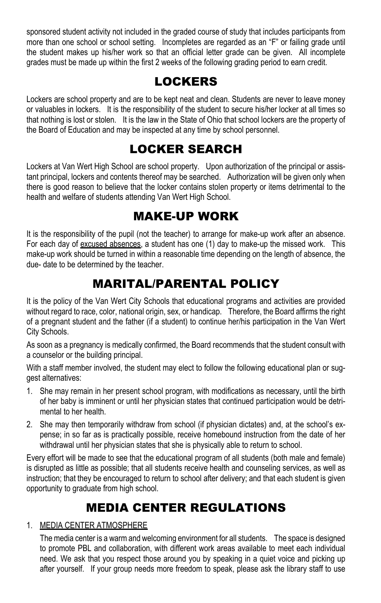sponsored student activity not included in the graded course of study that includes participants from more than one school or school setting. Incompletes are regarded as an "F" or failing grade until the student makes up his/her work so that an official letter grade can be given. All incomplete grades must be made up within the first 2 weeks of the following grading period to earn credit.

## LOCKERS

Lockers are school property and are to be kept neat and clean. Students are never to leave money or valuables in lockers. It is the responsibility of the student to secure his/her locker at all times so that nothing is lost or stolen. It is the law in the State of Ohio that school lockers are the property of the Board of Education and may be inspected at any time by school personnel.

## LOCKER SEARCH

Lockers at Van Wert High School are school property. Upon authorization of the principal or assistant principal, lockers and contents thereof may be searched. Authorization will be given only when there is good reason to believe that the locker contains stolen property or items detrimental to the health and welfare of students attending Van Wert High School.

## MAKE-UP WORK

It is the responsibility of the pupil (not the teacher) to arrange for make-up work after an absence. For each day of excused absences, a student has one (1) day to make-up the missed work. This make-up work should be turned in within a reasonable time depending on the length of absence, the due- date to be determined by the teacher.

## MARITAL/PARENTAL POLICY

It is the policy of the Van Wert City Schools that educational programs and activities are provided without regard to race, color, national origin, sex, or handicap. Therefore, the Board affirms the right of a pregnant student and the father (if a student) to continue her/his participation in the Van Wert City Schools.

As soon as a pregnancy is medically confirmed, the Board recommends that the student consult with a counselor or the building principal.

With a staff member involved, the student may elect to follow the following educational plan or suggest alternatives:

- 1. She may remain in her present school program, with modifications as necessary, until the birth of her baby is imminent or until her physician states that continued participation would be detrimental to her health.
- 2. She may then temporarily withdraw from school (if physician dictates) and, at the school's expense; in so far as is practically possible, receive homebound instruction from the date of her withdrawal until her physician states that she is physically able to return to school.

Every effort will be made to see that the educational program of all students (both male and female) is disrupted as little as possible; that all students receive health and counseling services, as well as instruction; that they be encouraged to return to school after delivery; and that each student is given opportunity to graduate from high school.

## MEDIA CENTER REGULATIONS

### 1. MEDIA CENTER ATMOSPHERE

The media center is a warm and welcoming environment for all students. The space is designed to promote PBL and collaboration, with different work areas available to meet each individual need. We ask that you respect those around you by speaking in a quiet voice and picking up after yourself. If your group needs more freedom to speak, please ask the library staff to use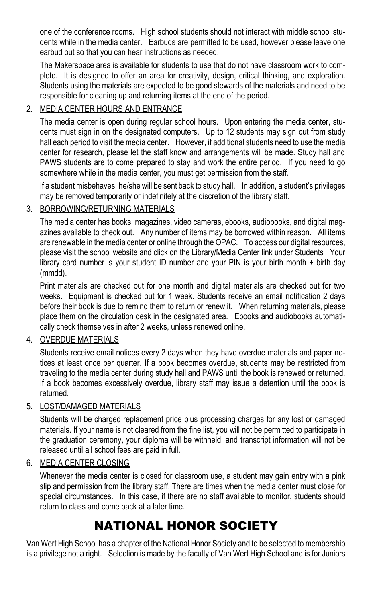one of the conference rooms. High school students should not interact with middle school students while in the media center. Earbuds are permitted to be used, however please leave one earbud out so that you can hear instructions as needed.

The Makerspace area is available for students to use that do not have classroom work to complete. It is designed to offer an area for creativity, design, critical thinking, and exploration. Students using the materials are expected to be good stewards of the materials and need to be responsible for cleaning up and returning items at the end of the period.

### 2. MEDIA CENTER HOURS AND ENTRANCE

The media center is open during regular school hours. Upon entering the media center, students must sign in on the designated computers. Up to 12 students may sign out from study hall each period to visit the media center. However, if additional students need to use the media center for research, please let the staff know and arrangements will be made. Study hall and PAWS students are to come prepared to stay and work the entire period. If you need to go somewhere while in the media center, you must get permission from the staff.

If a student misbehaves, he/she will be sent back to study hall. In addition, a student's privileges may be removed temporarily or indefinitely at the discretion of the library staff.

### 3. BORROWING/RETURNING MATERIALS

The media center has books, magazines, video cameras, ebooks, audiobooks, and digital magazines available to check out. Any number of items may be borrowed within reason. All items are renewable in the media center or online through the OPAC. To access our digital resources, please visit the school website and click on the Library/Media Center link under Students Your library card number is your student ID number and your PIN is your birth month + birth day (mmdd).

Print materials are checked out for one month and digital materials are checked out for two weeks. Equipment is checked out for 1 week. Students receive an email notification 2 days before their book is due to remind them to return or renew it. When returning materials, please place them on the circulation desk in the designated area. Ebooks and audiobooks automatically check themselves in after 2 weeks, unless renewed online.

### 4. OVERDUE MATERIALS

Students receive email notices every 2 days when they have overdue materials and paper notices at least once per quarter. If a book becomes overdue, students may be restricted from traveling to the media center during study hall and PAWS until the book is renewed or returned. If a book becomes excessively overdue, library staff may issue a detention until the book is returned.

#### 5. LOST/DAMAGED MATERIALS

Students will be charged replacement price plus processing charges for any lost or damaged materials. If your name is not cleared from the fine list, you will not be permitted to participate in the graduation ceremony, your diploma will be withheld, and transcript information will not be released until all school fees are paid in full.

#### 6. MEDIA CENTER CLOSING

Whenever the media center is closed for classroom use, a student may gain entry with a pink slip and permission from the library staff. There are times when the media center must close for special circumstances. In this case, if there are no staff available to monitor, students should return to class and come back at a later time.

## NATIONAL HONOR SOCIETY

Van Wert High School has a chapter of the National Honor Society and to be selected to membership is a privilege not a right. Selection is made by the faculty of Van Wert High School and is for Juniors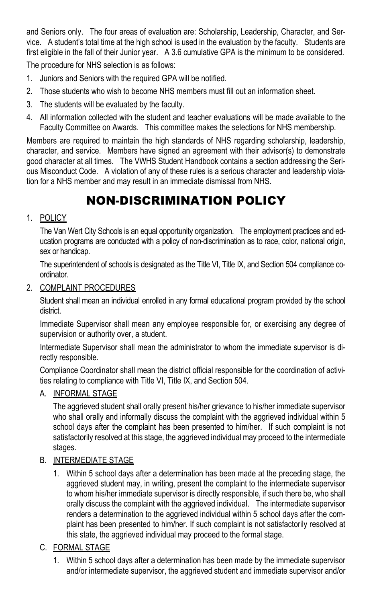and Seniors only. The four areas of evaluation are: Scholarship, Leadership, Character, and Service. A student's total time at the high school is used in the evaluation by the faculty. Students are first eligible in the fall of their Junior year. A 3.6 cumulative GPA is the minimum to be considered. The procedure for NHS selection is as follows:

- 1. Juniors and Seniors with the required GPA will be notified.
- 2. Those students who wish to become NHS members must fill out an information sheet.
- 3. The students will be evaluated by the faculty.
- 4. All information collected with the student and teacher evaluations will be made available to the Faculty Committee on Awards. This committee makes the selections for NHS membership.

Members are required to maintain the high standards of NHS regarding scholarship, leadership, character, and service. Members have signed an agreement with their advisor(s) to demonstrate good character at all times. The VWHS Student Handbook contains a section addressing the Serious Misconduct Code. A violation of any of these rules is a serious character and leadership violation for a NHS member and may result in an immediate dismissal from NHS.

# NON-DISCRIMINATION POLICY

#### 1. POLICY

The Van Wert City Schools is an equal opportunity organization. The employment practices and education programs are conducted with a policy of non-discrimination as to race, color, national origin, sex or handicap.

The superintendent of schools is designated as the Title VI, Title IX, and Section 504 compliance coordinator.

2. COMPLAINT PROCEDURES

Student shall mean an individual enrolled in any formal educational program provided by the school district.

Immediate Supervisor shall mean any employee responsible for, or exercising any degree of supervision or authority over, a student.

Intermediate Supervisor shall mean the administrator to whom the immediate supervisor is directly responsible.

Compliance Coordinator shall mean the district official responsible for the coordination of activities relating to compliance with Title VI, Title IX, and Section 504.

### A. INFORMAL STAGE

The aggrieved student shall orally present his/her grievance to his/her immediate supervisor who shall orally and informally discuss the complaint with the aggrieved individual within 5 school days after the complaint has been presented to him/her. If such complaint is not satisfactorily resolved at this stage, the aggrieved individual may proceed to the intermediate stages.

### B. INTERMEDIATE STAGE

1. Within 5 school days after a determination has been made at the preceding stage, the aggrieved student may, in writing, present the complaint to the intermediate supervisor to whom his/her immediate supervisor is directly responsible, if such there be, who shall orally discuss the complaint with the aggrieved individual. The intermediate supervisor renders a determination to the aggrieved individual within 5 school days after the complaint has been presented to him/her. If such complaint is not satisfactorily resolved at this state, the aggrieved individual may proceed to the formal stage.

### C. FORMAL STAGE

1. Within 5 school days after a determination has been made by the immediate supervisor and/or intermediate supervisor, the aggrieved student and immediate supervisor and/or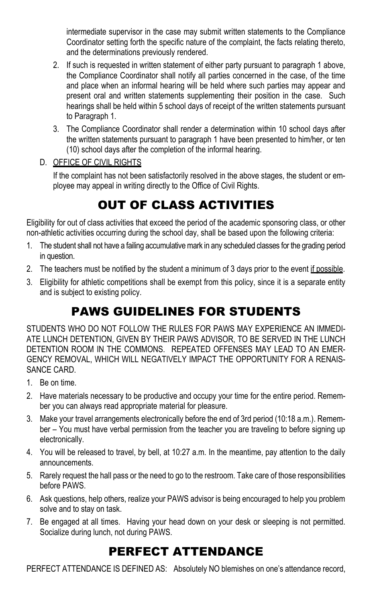intermediate supervisor in the case may submit written statements to the Compliance Coordinator setting forth the specific nature of the complaint, the facts relating thereto, and the determinations previously rendered.

- 2. If such is requested in written statement of either party pursuant to paragraph 1 above, the Compliance Coordinator shall notify all parties concerned in the case, of the time and place when an informal hearing will be held where such parties may appear and present oral and written statements supplementing their position in the case. Such hearings shall be held within 5 school days of receipt of the written statements pursuant to Paragraph 1.
- 3. The Compliance Coordinator shall render a determination within 10 school days after the written statements pursuant to paragraph 1 have been presented to him/her, or ten (10) school days after the completion of the informal hearing.
- D. OFFICE OF CIVIL RIGHTS

If the complaint has not been satisfactorily resolved in the above stages, the student or employee may appeal in writing directly to the Office of Civil Rights.

# OUT OF CLASS ACTIVITIES

Eligibility for out of class activities that exceed the period of the academic sponsoring class, or other non-athletic activities occurring during the school day, shall be based upon the following criteria:

- 1. The student shall not have a failing accumulative mark in any scheduled classes for the grading period in question.
- 2. The teachers must be notified by the student a minimum of 3 days prior to the event if possible.
- 3. Eligibility for athletic competitions shall be exempt from this policy, since it is a separate entity and is subject to existing policy.

# PAWS GUIDELINES FOR STUDENTS

STUDENTS WHO DO NOT FOLLOW THE RULES FOR PAWS MAY EXPERIENCE AN IMMEDI-ATE LUNCH DETENTION, GIVEN BY THEIR PAWS ADVISOR, TO BE SERVED IN THE LUNCH DETENTION ROOM IN THE COMMONS. REPEATED OFFENSES MAY LEAD TO AN EMER-GENCY REMOVAL, WHICH WILL NEGATIVELY IMPACT THE OPPORTUNITY FOR A RENAIS-SANCE CARD.

- 1. Be on time.
- 2. Have materials necessary to be productive and occupy your time for the entire period. Remember you can always read appropriate material for pleasure.
- 3. Make your travel arrangements electronically before the end of 3rd period (10:18 a.m.). Remember – You must have verbal permission from the teacher you are traveling to before signing up electronically.
- 4. You will be released to travel, by bell, at 10:27 a.m. In the meantime, pay attention to the daily announcements.
- 5. Rarely request the hall pass or the need to go to the restroom. Take care of those responsibilities before PAWS.
- 6. Ask questions, help others, realize your PAWS advisor is being encouraged to help you problem solve and to stay on task.
- 7. Be engaged at all times. Having your head down on your desk or sleeping is not permitted. Socialize during lunch, not during PAWS.

## PERFECT ATTENDANCE

PERFECT ATTENDANCE IS DEFINED AS: Absolutely NO blemishes on one's attendance record,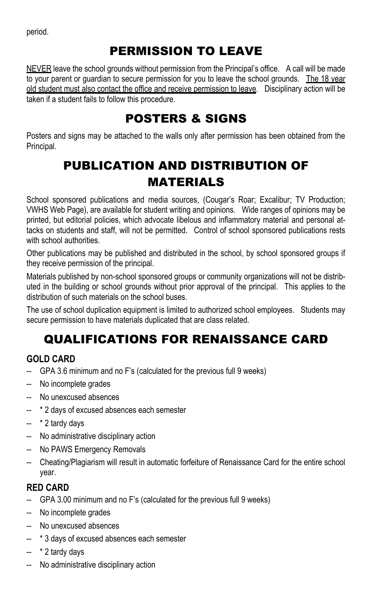period.

# PERMISSION TO LEAVE

NEVER leave the school grounds without permission from the Principal's office. A call will be made to your parent or guardian to secure permission for you to leave the school grounds. The 18 year old student must also contact the office and receive permission to leave. Disciplinary action will be taken if a student fails to follow this procedure.

## POSTERS & SIGNS

Posters and signs may be attached to the walls only after permission has been obtained from the Principal.

# PUBLICATION AND DISTRIBUTION OF MATERIALS

School sponsored publications and media sources, (Cougar's Roar; Excalibur; TV Production; VWHS Web Page), are available for student writing and opinions. Wide ranges of opinions may be printed, but editorial policies, which advocate libelous and inflammatory material and personal attacks on students and staff, will not be permitted. Control of school sponsored publications rests with school authorities

Other publications may be published and distributed in the school, by school sponsored groups if they receive permission of the principal.

Materials published by non-school sponsored groups or community organizations will not be distributed in the building or school grounds without prior approval of the principal. This applies to the distribution of such materials on the school buses.

The use of school duplication equipment is limited to authorized school employees. Students may secure permission to have materials duplicated that are class related.

# QUALIFICATIONS FOR RENAISSANCE CARD

## **GOLD CARD**

- GPA 3.6 minimum and no F's (calculated for the previous full 9 weeks)
- -- No incomplete grades
- No unexcused absences
- \* 2 days of excused absences each semester
- -- \* 2 tardy days
- -- No administrative disciplinary action
- No PAWS Emergency Removals
- -- Cheating/Plagiarism will result in automatic forfeiture of Renaissance Card for the entire school year.

## **RED CARD**

- GPA 3.00 minimum and no F's (calculated for the previous full 9 weeks)
- -- No incomplete grades
- -- No unexcused absences
- -- \* 3 days of excused absences each semester
- -- \* 2 tardy days
- -- No administrative disciplinary action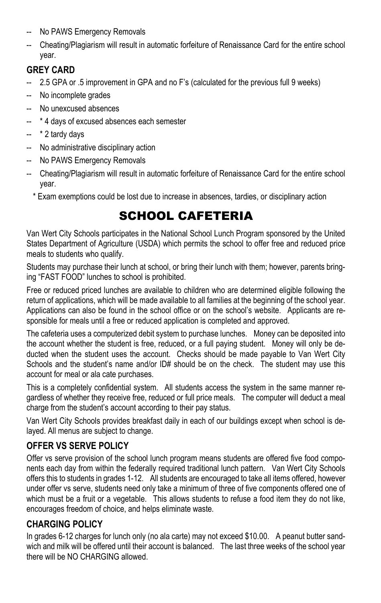- -- No PAWS Emergency Removals
- -- Cheating/Plagiarism will result in automatic forfeiture of Renaissance Card for the entire school year.

## **GREY CARD**

- 2.5 GPA or .5 improvement in GPA and no F's (calculated for the previous full 9 weeks)
- -- No incomplete grades
- -- No unexcused absences
- -- \* 4 days of excused absences each semester
- -- \* 2 tardy days
- -- No administrative disciplinary action
- No PAWS Emergency Removals
- -- Cheating/Plagiarism will result in automatic forfeiture of Renaissance Card for the entire school year.

\* Exam exemptions could be lost due to increase in absences, tardies, or disciplinary action

# SCHOOL CAFETERIA

Van Wert City Schools participates in the National School Lunch Program sponsored by the United States Department of Agriculture (USDA) which permits the school to offer free and reduced price meals to students who qualify.

Students may purchase their lunch at school, or bring their lunch with them; however, parents bringing "FAST FOOD" lunches to school is prohibited.

Free or reduced priced lunches are available to children who are determined eligible following the return of applications, which will be made available to all families at the beginning of the school year. Applications can also be found in the school office or on the school's website. Applicants are responsible for meals until a free or reduced application is completed and approved.

The cafeteria uses a computerized debit system to purchase lunches. Money can be deposited into the account whether the student is free, reduced, or a full paying student. Money will only be deducted when the student uses the account. Checks should be made payable to Van Wert City Schools and the student's name and/or ID# should be on the check. The student may use this account for meal or ala cate purchases.

This is a completely confidential system. All students access the system in the same manner regardless of whether they receive free, reduced or full price meals. The computer will deduct a meal charge from the student's account according to their pay status.

Van Wert City Schools provides breakfast daily in each of our buildings except when school is delayed. All menus are subject to change.

## **OFFER VS SERVE POLICY**

Offer vs serve provision of the school lunch program means students are offered five food components each day from within the federally required traditional lunch pattern. Van Wert City Schools offers this to students in grades 1-12. All students are encouraged to take all items offered, however under offer vs serve, students need only take a minimum of three of five components offered one of which must be a fruit or a vegetable. This allows students to refuse a food item they do not like, encourages freedom of choice, and helps eliminate waste.

## **CHARGING POLICY**

In grades 6-12 charges for lunch only (no ala carte) may not exceed \$10.00. A peanut butter sandwich and milk will be offered until their account is balanced. The last three weeks of the school year there will be NO CHARGING allowed.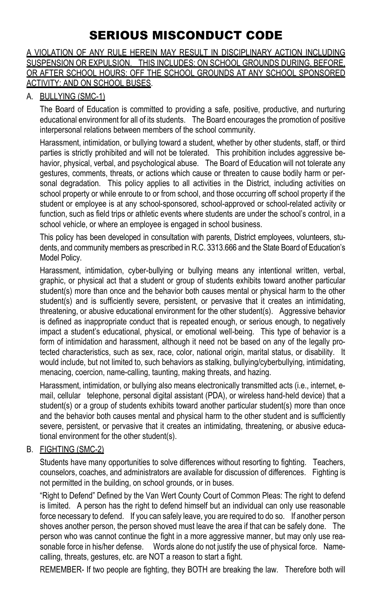# SERIOUS MISCONDUCT CODE

#### A VIOLATION OF ANY RULE HEREIN MAY RESULT IN DISCIPLINARY ACTION INCLUDING SUSPENSION OR EXPULSION. THIS INCLUDES: ON SCHOOL GROUNDS DURING, BEFORE, OR AFTER SCHOOL HOURS: OFF THE SCHOOL GROUNDS AT ANY SCHOOL SPONSORED ACTIVITY: AND ON SCHOOL BUSES.

#### A. BULLYING (SMC-1)

The Board of Education is committed to providing a safe, positive, productive, and nurturing educational environment for all of its students. The Board encourages the promotion of positive interpersonal relations between members of the school community.

Harassment, intimidation, or bullying toward a student, whether by other students, staff, or third parties is strictly prohibited and will not be tolerated. This prohibition includes aggressive behavior, physical, verbal, and psychological abuse. The Board of Education will not tolerate any gestures, comments, threats, or actions which cause or threaten to cause bodily harm or personal degradation. This policy applies to all activities in the District, including activities on school property or while enroute to or from school, and those occurring off school property if the student or employee is at any school-sponsored, school-approved or school-related activity or function, such as field trips or athletic events where students are under the school's control, in a school vehicle, or where an employee is engaged in school business.

This policy has been developed in consultation with parents, District employees, volunteers, students, and community members as prescribed in R.C. 3313.666 and the State Board of Education's Model Policy.

Harassment, intimidation, cyber-bullying or bullying means any intentional written, verbal, graphic, or physical act that a student or group of students exhibits toward another particular student(s) more than once and the behavior both causes mental or physical harm to the other student(s) and is sufficiently severe, persistent, or pervasive that it creates an intimidating, threatening, or abusive educational environment for the other student(s). Aggressive behavior is defined as inappropriate conduct that is repeated enough, or serious enough, to negatively impact a student's educational, physical, or emotional well-being. This type of behavior is a form of intimidation and harassment, although it need not be based on any of the legally protected characteristics, such as sex, race, color, national origin, marital status, or disability. It would include, but not limited to, such behaviors as stalking, bullying/cyberbullying, intimidating, menacing, coercion, name-calling, taunting, making threats, and hazing.

Harassment, intimidation, or bullying also means electronically transmitted acts (i.e., internet, email, cellular telephone, personal digital assistant (PDA), or wireless hand-held device) that a student(s) or a group of students exhibits toward another particular student(s) more than once and the behavior both causes mental and physical harm to the other student and is sufficiently severe, persistent, or pervasive that it creates an intimidating, threatening, or abusive educational environment for the other student(s).

#### B. FIGHTING (SMC-2)

Students have many opportunities to solve differences without resorting to fighting. Teachers, counselors, coaches, and administrators are available for discussion of differences. Fighting is not permitted in the building, on school grounds, or in buses.

"Right to Defend" Defined by the Van Wert County Court of Common Pleas: The right to defend is limited. A person has the right to defend himself but an individual can only use reasonable force necessary to defend. If you can safely leave, you are required to do so. If another person shoves another person, the person shoved must leave the area if that can be safely done. The person who was cannot continue the fight in a more aggressive manner, but may only use reasonable force in his/her defense. Words alone do not justify the use of physical force. Namecalling, threats, gestures, etc. are NOT a reason to start a fight.

REMEMBER- If two people are fighting, they BOTH are breaking the law. Therefore both will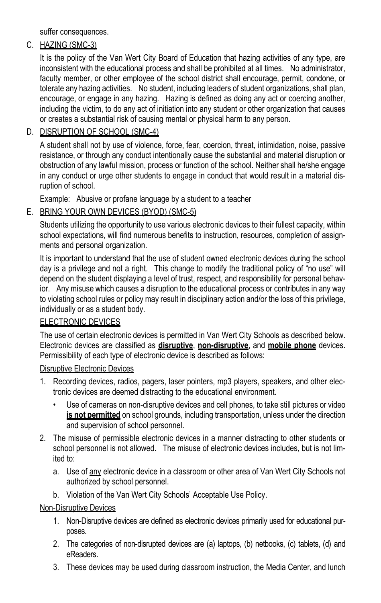suffer consequences.

### C. HAZING (SMC-3)

It is the policy of the Van Wert City Board of Education that hazing activities of any type, are inconsistent with the educational process and shall be prohibited at all times. No administrator, faculty member, or other employee of the school district shall encourage, permit, condone, or tolerate any hazing activities. No student, including leaders of student organizations, shall plan, encourage, or engage in any hazing. Hazing is defined as doing any act or coercing another, including the victim, to do any act of initiation into any student or other organization that causes or creates a substantial risk of causing mental or physical harm to any person.

### D. DISRUPTION OF SCHOOL (SMC-4)

A student shall not by use of violence, force, fear, coercion, threat, intimidation, noise, passive resistance, or through any conduct intentionally cause the substantial and material disruption or obstruction of any lawful mission, process or function of the school. Neither shall he/she engage in any conduct or urge other students to engage in conduct that would result in a material disruption of school.

Example: Abusive or profane language by a student to a teacher

### E. BRING YOUR OWN DEVICES (BYOD) (SMC-5)

Students utilizing the opportunity to use various electronic devices to their fullest capacity, within school expectations, will find numerous benefits to instruction, resources, completion of assignments and personal organization.

It is important to understand that the use of student owned electronic devices during the school day is a privilege and not a right. This change to modify the traditional policy of "no use" will depend on the student displaying a level of trust, respect, and responsibility for personal behavior. Any misuse which causes a disruption to the educational process or contributes in any way to violating school rules or policy may result in disciplinary action and/or the loss of this privilege, individually or as a student body.

#### ELECTRONIC DEVICES

The use of certain electronic devices is permitted in Van Wert City Schools as described below. Electronic devices are classified as **disruptive**, **non-disruptive**, and **mobile phone** devices. Permissibility of each type of electronic device is described as follows:

#### Disruptive Electronic Devices

- 1. Recording devices, radios, pagers, laser pointers, mp3 players, speakers, and other electronic devices are deemed distracting to the educational environment.
	- Use of cameras on non-disruptive devices and cell phones, to take still pictures or video **is not permitted** on school grounds, including transportation, unless under the direction and supervision of school personnel.
- 2. The misuse of permissible electronic devices in a manner distracting to other students or school personnel is not allowed. The misuse of electronic devices includes, but is not limited to:
	- a. Use of any electronic device in a classroom or other area of Van Wert City Schools not authorized by school personnel.
	- b. Violation of the Van Wert City Schools' Acceptable Use Policy.

#### Non-Disruptive Devices

- 1. Non-Disruptive devices are defined as electronic devices primarily used for educational purposes.
- 2. The categories of non-disrupted devices are (a) laptops, (b) netbooks, (c) tablets, (d) and eReaders.
- 3. These devices may be used during classroom instruction, the Media Center, and lunch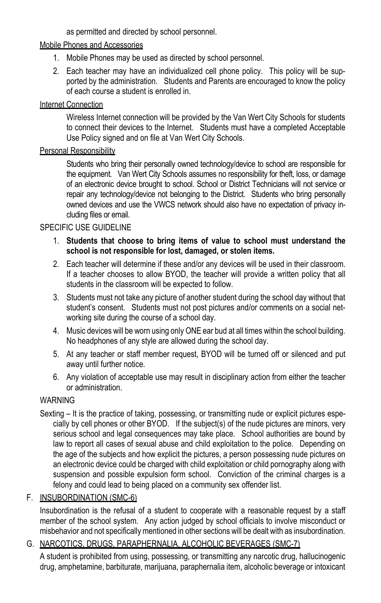as permitted and directed by school personnel.

### Mobile Phones and Accessories

- 1. Mobile Phones may be used as directed by school personnel.
- 2. Each teacher may have an individualized cell phone policy. This policy will be supported by the administration. Students and Parents are encouraged to know the policy of each course a student is enrolled in.

### Internet Connection

Wireless Internet connection will be provided by the Van Wert City Schools for students to connect their devices to the Internet. Students must have a completed Acceptable Use Policy signed and on file at Van Wert City Schools.

### Personal Responsibility

Students who bring their personally owned technology/device to school are responsible for the equipment. Van Wert City Schools assumes no responsibility for theft, loss, or damage of an electronic device brought to school. School or District Technicians will not service or repair any technology/device not belonging to the District. Students who bring personally owned devices and use the VWCS network should also have no expectation of privacy including files or email.

## SPECIFIC USE GUIDELINE

- 1. **Students that choose to bring items of value to school must understand the school is not responsible for lost, damaged, or stolen items.**
- 2. Each teacher will determine if these and/or any devices will be used in their classroom. If a teacher chooses to allow BYOD, the teacher will provide a written policy that all students in the classroom will be expected to follow.
- 3. Students must not take any picture of another student during the school day without that student's consent. Students must not post pictures and/or comments on a social networking site during the course of a school day.
- 4. Music devices will be worn using only ONE ear bud at all times within the school building. No headphones of any style are allowed during the school day.
- 5. At any teacher or staff member request, BYOD will be turned off or silenced and put away until further notice.
- 6. Any violation of acceptable use may result in disciplinary action from either the teacher or administration.

## **WARNING**

Sexting – It is the practice of taking, possessing, or transmitting nude or explicit pictures especially by cell phones or other BYOD. If the subject(s) of the nude pictures are minors, very serious school and legal consequences may take place. School authorities are bound by law to report all cases of sexual abuse and child exploitation to the police. Depending on the age of the subjects and how explicit the pictures, a person possessing nude pictures on an electronic device could be charged with child exploitation or child pornography along with suspension and possible expulsion form school. Conviction of the criminal charges is a felony and could lead to being placed on a community sex offender list.

## F. INSUBORDINATION (SMC-6)

Insubordination is the refusal of a student to cooperate with a reasonable request by a staff member of the school system. Any action judged by school officials to involve misconduct or misbehavior and not specifically mentioned in other sections will be dealt with as insubordination.

## G. NARCOTICS, DRUGS, PARAPHERNALIA, ALCOHOLIC BEVERAGES (SMC-7)

A student is prohibited from using, possessing, or transmitting any narcotic drug, hallucinogenic drug, amphetamine, barbiturate, marijuana, paraphernalia item, alcoholic beverage or intoxicant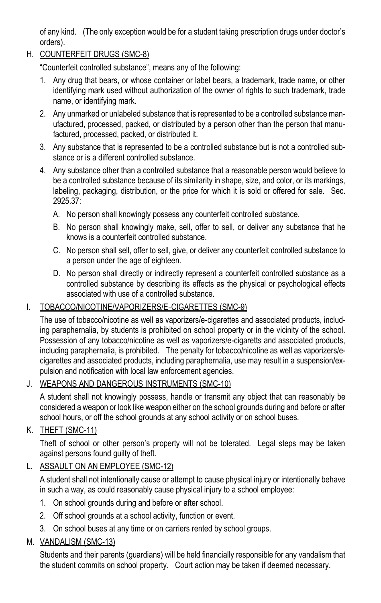of any kind. (The only exception would be for a student taking prescription drugs under doctor's orders).

### H. COUNTERFEIT DRUGS (SMC-8)

"Counterfeit controlled substance", means any of the following:

- 1. Any drug that bears, or whose container or label bears, a trademark, trade name, or other identifying mark used without authorization of the owner of rights to such trademark, trade name, or identifying mark.
- 2. Any unmarked or unlabeled substance that is represented to be a controlled substance manufactured, processed, packed, or distributed by a person other than the person that manufactured, processed, packed, or distributed it.
- 3. Any substance that is represented to be a controlled substance but is not a controlled substance or is a different controlled substance.
- 4. Any substance other than a controlled substance that a reasonable person would believe to be a controlled substance because of its similarity in shape, size, and color, or its markings, labeling, packaging, distribution, or the price for which it is sold or offered for sale. Sec. 2925.37:
	- A. No person shall knowingly possess any counterfeit controlled substance.
	- B. No person shall knowingly make, sell, offer to sell, or deliver any substance that he knows is a counterfeit controlled substance.
	- C. No person shall sell, offer to sell, give, or deliver any counterfeit controlled substance to a person under the age of eighteen.
	- D. No person shall directly or indirectly represent a counterfeit controlled substance as a controlled substance by describing its effects as the physical or psychological effects associated with use of a controlled substance.

#### I. TOBACCO/NICOTINE/VAPORIZERS/E-CIGARETTES (SMC-9)

The use of tobacco/nicotine as well as vaporizers/e-cigarettes and associated products, including paraphernalia, by students is prohibited on school property or in the vicinity of the school. Possession of any tobacco/nicotine as well as vaporizers/e-cigaretts and associated products, including paraphernalia, is prohibited. The penalty for tobacco/nicotine as well as vaporizers/ecigarettes and associated products, including paraphernalia, use may result in a suspension/expulsion and notification with local law enforcement agencies.

#### J. WEAPONS AND DANGEROUS INSTRUMENTS (SMC-10)

A student shall not knowingly possess, handle or transmit any object that can reasonably be considered a weapon or look like weapon either on the school grounds during and before or after school hours, or off the school grounds at any school activity or on school buses.

### K. THEFT (SMC-11)

Theft of school or other person's property will not be tolerated. Legal steps may be taken against persons found guilty of theft.

### L. ASSAULT ON AN EMPLOYEE (SMC-12)

A student shall not intentionally cause or attempt to cause physical injury or intentionally behave in such a way, as could reasonably cause physical injury to a school employee:

- 1. On school grounds during and before or after school.
- 2. Off school grounds at a school activity, function or event.
- 3. On school buses at any time or on carriers rented by school groups.

### M. VANDALISM (SMC-13)

Students and their parents (guardians) will be held financially responsible for any vandalism that the student commits on school property. Court action may be taken if deemed necessary.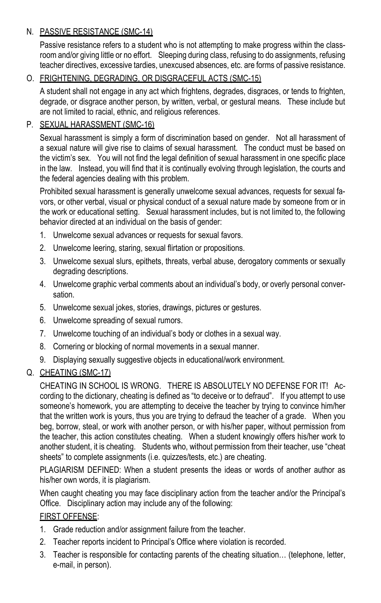### N. PASSIVE RESISTANCE (SMC-14)

Passive resistance refers to a student who is not attempting to make progress within the classroom and/or giving little or no effort. Sleeping during class, refusing to do assignments, refusing teacher directives, excessive tardies, unexcused absences, etc. are forms of passive resistance.

### O. FRIGHTENING, DEGRADING, OR DISGRACEFUL ACTS (SMC-15)

A student shall not engage in any act which frightens, degrades, disgraces, or tends to frighten, degrade, or disgrace another person, by written, verbal, or gestural means. These include but are not limited to racial, ethnic, and religious references.

### P. SEXUAL HARASSMENT (SMC-16)

Sexual harassment is simply a form of discrimination based on gender. Not all harassment of a sexual nature will give rise to claims of sexual harassment. The conduct must be based on the victim's sex. You will not find the legal definition of sexual harassment in one specific place in the law. Instead, you will find that it is continually evolving through legislation, the courts and the federal agencies dealing with this problem.

Prohibited sexual harassment is generally unwelcome sexual advances, requests for sexual favors, or other verbal, visual or physical conduct of a sexual nature made by someone from or in the work or educational setting. Sexual harassment includes, but is not limited to, the following behavior directed at an individual on the basis of gender:

- 1. Unwelcome sexual advances or requests for sexual favors.
- 2. Unwelcome leering, staring, sexual flirtation or propositions.
- 3. Unwelcome sexual slurs, epithets, threats, verbal abuse, derogatory comments or sexually degrading descriptions.
- 4. Unwelcome graphic verbal comments about an individual's body, or overly personal conversation.
- 5. Unwelcome sexual jokes, stories, drawings, pictures or gestures.
- 6. Unwelcome spreading of sexual rumors.
- 7. Unwelcome touching of an individual's body or clothes in a sexual way.
- 8. Cornering or blocking of normal movements in a sexual manner.
- 9. Displaying sexually suggestive objects in educational/work environment.

### Q. CHEATING (SMC-17)

CHEATING IN SCHOOL IS WRONG. THERE IS ABSOLUTELY NO DEFENSE FOR IT! According to the dictionary, cheating is defined as "to deceive or to defraud". If you attempt to use someone's homework, you are attempting to deceive the teacher by trying to convince him/her that the written work is yours, thus you are trying to defraud the teacher of a grade. When you beg, borrow, steal, or work with another person, or with his/her paper, without permission from the teacher, this action constitutes cheating. When a student knowingly offers his/her work to another student, it is cheating. Students who, without permission from their teacher, use "cheat sheets" to complete assignments (i.e. quizzes/tests, etc.) are cheating.

PLAGIARISM DEFINED: When a student presents the ideas or words of another author as his/her own words, it is plagiarism.

When caught cheating you may face disciplinary action from the teacher and/or the Principal's Office. Disciplinary action may include any of the following:

#### FIRST OFFENSE:

- 1. Grade reduction and/or assignment failure from the teacher.
- 2. Teacher reports incident to Principal's Office where violation is recorded.
- 3. Teacher is responsible for contacting parents of the cheating situation… (telephone, letter, e-mail, in person).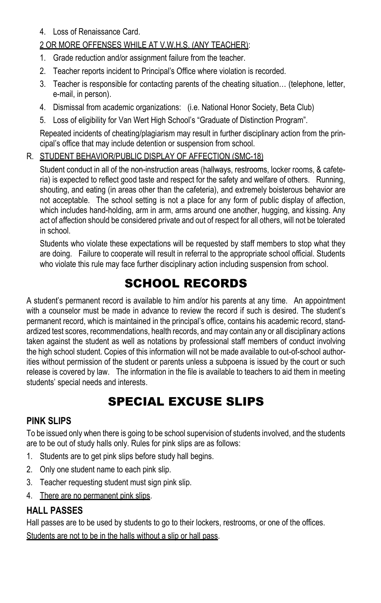4. Loss of Renaissance Card.

### 2 OR MORE OFFENSES WHILE AT V.W.H.S. (ANY TEACHER):

- 1. Grade reduction and/or assignment failure from the teacher.
- 2. Teacher reports incident to Principal's Office where violation is recorded.
- 3. Teacher is responsible for contacting parents of the cheating situation… (telephone, letter, e-mail, in person).
- 4. Dismissal from academic organizations: (i.e. National Honor Society, Beta Club)
- 5. Loss of eligibility for Van Wert High School's "Graduate of Distinction Program".

Repeated incidents of cheating/plagiarism may result in further disciplinary action from the principal's office that may include detention or suspension from school.

### R. STUDENT BEHAVIOR/PUBLIC DISPLAY OF AFFECTION (SMC-18)

Student conduct in all of the non-instruction areas (hallways, restrooms, locker rooms, & cafeteria) is expected to reflect good taste and respect for the safety and welfare of others. Running, shouting, and eating (in areas other than the cafeteria), and extremely boisterous behavior are not acceptable. The school setting is not a place for any form of public display of affection, which includes hand-holding, arm in arm, arms around one another, hugging, and kissing. Any act of affection should be considered private and out of respect for all others, will not be tolerated in school.

Students who violate these expectations will be requested by staff members to stop what they are doing. Failure to cooperate will result in referral to the appropriate school official. Students who violate this rule may face further disciplinary action including suspension from school.

## SCHOOL RECORDS

A student's permanent record is available to him and/or his parents at any time. An appointment with a counselor must be made in advance to review the record if such is desired. The student's permanent record, which is maintained in the principal's office, contains his academic record, standardized test scores, recommendations, health records, and may contain any or all disciplinary actions taken against the student as well as notations by professional staff members of conduct involving the high school student. Copies of this information will not be made available to out-of-school authorities without permission of the student or parents unless a subpoena is issued by the court or such release is covered by law. The information in the file is available to teachers to aid them in meeting students' special needs and interests.

## SPECIAL EXCUSE SLIPS

### **PINK SLIPS**

To be issued only when there is going to be school supervision of students involved, and the students are to be out of study halls only. Rules for pink slips are as follows:

- 1. Students are to get pink slips before study hall begins.
- 2. Only one student name to each pink slip.
- 3. Teacher requesting student must sign pink slip.
- 4. There are no permanent pink slips.

## **HALL PASSES**

Hall passes are to be used by students to go to their lockers, restrooms, or one of the offices. Students are not to be in the halls without a slip or hall pass.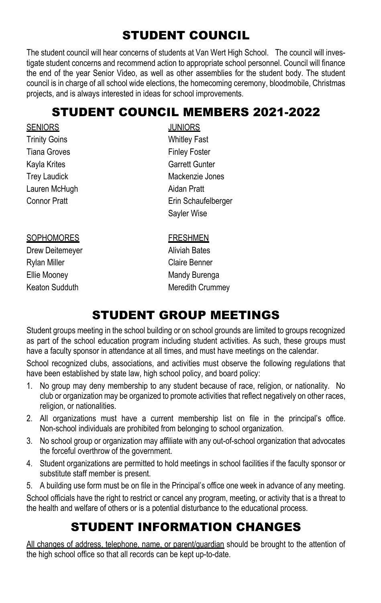# STUDENT COUNCIL

The student council will hear concerns of students at Van Wert High School. The council will investigate student concerns and recommend action to appropriate school personnel. Council will finance the end of the year Senior Video, as well as other assemblies for the student body. The student council is in charge of all school wide elections, the homecoming ceremony, bloodmobile, Christmas projects, and is always interested in ideas for school improvements.

## STUDENT COUNCIL MEMBERS 2021-2022

| <b>JUNIORS</b>    |
|-------------------|
| Whitley Fa        |
| <b>Finley Fos</b> |
| Garrett Gu        |
| Mackenzie         |
| Aidan Prat        |
| Erin Schar        |
| Sayler Wis        |
| <b>FRESHME</b>    |
|                   |

Drew Deitemeyer **Aliviah Bates** Rylan Miller **Claire Benner** Ellie Mooney **Mandy Burenga** 

**Whitley Fast Finley Foster** Garrett Gunter Mackenzie Jones Aidan Pratt Erin Schaufelberger Sayler Wise

**FRESHMEN** Keaton Sudduth Meredith Crummey

# STUDENT GROUP MEETINGS

Student groups meeting in the school building or on school grounds are limited to groups recognized as part of the school education program including student activities. As such, these groups must have a faculty sponsor in attendance at all times, and must have meetings on the calendar.

School recognized clubs, associations, and activities must observe the following regulations that have been established by state law, high school policy, and board policy:

- 1. No group may deny membership to any student because of race, religion, or nationality. No club or organization may be organized to promote activities that reflect negatively on other races, religion, or nationalities.
- 2. All organizations must have a current membership list on file in the principal's office. Non-school individuals are prohibited from belonging to school organization.
- 3. No school group or organization may affiliate with any out-of-school organization that advocates the forceful overthrow of the government.
- 4. Student organizations are permitted to hold meetings in school facilities if the faculty sponsor or substitute staff member is present.
- 5. A building use form must be on file in the Principal's office one week in advance of any meeting.

School officials have the right to restrict or cancel any program, meeting, or activity that is a threat to the health and welfare of others or is a potential disturbance to the educational process.

## STUDENT INFORMATION CHANGES

All changes of address, telephone, name, or parent/guardian should be brought to the attention of the high school office so that all records can be kept up-to-date.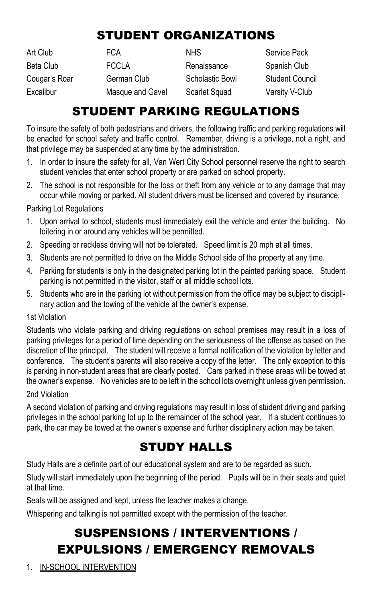# STUDENT ORGANIZATIONS

| Art Club      | FCA              | <b>NHS</b>           | Service Pack           |
|---------------|------------------|----------------------|------------------------|
| Beta Club     | <b>FCCLA</b>     | Renaissance          | Spanish Club           |
| Couqar's Roar | German Club      | Scholastic Bowl      | <b>Student Council</b> |
| Excalibur     | Masque and Gavel | <b>Scarlet Squad</b> | Varsity V-Club         |

## STUDENT PARKING REGULATIONS

To insure the safety of both pedestrians and drivers, the following traffic and parking regulations will be enacted for school safety and traffic control. Remember, driving is a privilege, not a right, and that privilege may be suspended at any time by the administration.

- 1. In order to insure the safety for all, Van Wert City School personnel reserve the right to search student vehicles that enter school property or are parked on school property.
- 2. The school is not responsible for the loss or theft from any vehicle or to any damage that may occur while moving or parked. All student drivers must be licensed and covered by insurance.

#### Parking Lot Regulations

- 1. Upon arrival to school, students must immediately exit the vehicle and enter the building. No loitering in or around any vehicles will be permitted.
- 2. Speeding or reckless driving will not be tolerated. Speed limit is 20 mph at all times.
- 3. Students are not permitted to drive on the Middle School side of the property at any time.
- 4. Parking for students is only in the designated parking lot in the painted parking space. Student parking is not permitted in the visitor, staff or all middle school lots.
- 5. Students who are in the parking lot without permission from the office may be subject to disciplinary action and the towing of the vehicle at the owner's expense.

#### 1st Violation

Students who violate parking and driving regulations on school premises may result in a loss of parking privileges for a period of time depending on the seriousness of the offense as based on the discretion of the principal. The student will receive a formal notification of the violation by letter and conference. The student's parents will also receive a copy of the letter. The only exception to this is parking in non-student areas that are clearly posted. Cars parked in these areas will be towed at the owner's expense. No vehicles are to be left in the school lots overnight unless given permission.

#### 2nd Violation

A second violation of parking and driving regulations may result in loss of student driving and parking privileges in the school parking lot up to the remainder of the school year. If a student continues to park, the car may be towed at the owner's expense and further disciplinary action may be taken.

## STUDY HALLS

Study Halls are a definite part of our educational system and are to be regarded as such.

Study will start immediately upon the beginning of the period. Pupils will be in their seats and quiet at that time.

Seats will be assigned and kept, unless the teacher makes a change.

Whispering and talking is not permitted except with the permission of the teacher.

# SUSPENSIONS / INTERVENTIONS / EXPULSIONS / EMERGENCY REMOVALS

1. IN-SCHOOL INTERVENTION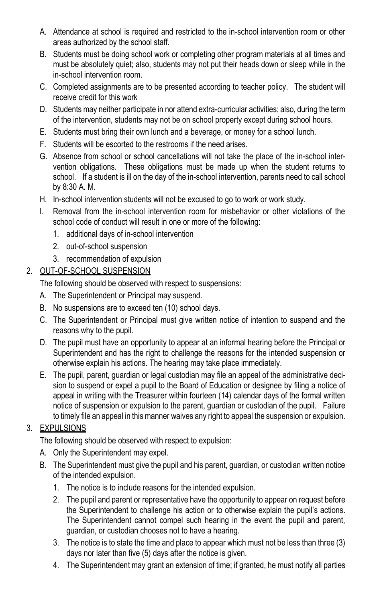- A. Attendance at school is required and restricted to the in-school intervention room or other areas authorized by the school staff.
- B. Students must be doing school work or completing other program materials at all times and must be absolutely quiet; also, students may not put their heads down or sleep while in the in-school intervention room.
- C. Completed assignments are to be presented according to teacher policy. The student will receive credit for this work
- D. Students may neither participate in nor attend extra-curricular activities; also, during the term of the intervention, students may not be on school property except during school hours.
- E. Students must bring their own lunch and a beverage, or money for a school lunch.
- F. Students will be escorted to the restrooms if the need arises.
- G. Absence from school or school cancellations will not take the place of the in-school intervention obligations. These obligations must be made up when the student returns to school. If a student is ill on the day of the in-school intervention, parents need to call school by 8:30 A. M.
- H. In-school intervention students will not be excused to go to work or work study.
- I. Removal from the in-school intervention room for misbehavior or other violations of the school code of conduct will result in one or more of the following:
	- 1. additional days of in-school intervention
	- 2. out-of-school suspension
	- 3. recommendation of expulsion

### 2. OUT-OF-SCHOOL SUSPENSION

The following should be observed with respect to suspensions:

- A. The Superintendent or Principal may suspend.
- B. No suspensions are to exceed ten (10) school days.
- C. The Superintendent or Principal must give written notice of intention to suspend and the reasons why to the pupil.
- D. The pupil must have an opportunity to appear at an informal hearing before the Principal or Superintendent and has the right to challenge the reasons for the intended suspension or otherwise explain his actions. The hearing may take place immediately.
- E. The pupil, parent, guardian or legal custodian may file an appeal of the administrative decision to suspend or expel a pupil to the Board of Education or designee by filing a notice of appeal in writing with the Treasurer within fourteen (14) calendar days of the formal written notice of suspension or expulsion to the parent, guardian or custodian of the pupil. Failure to timely file an appeal in this manner waives any right to appeal the suspension or expulsion.

### 3. EXPULSIONS

The following should be observed with respect to expulsion:

- A. Only the Superintendent may expel.
- B. The Superintendent must give the pupil and his parent, guardian, or custodian written notice of the intended expulsion.
	- 1. The notice is to include reasons for the intended expulsion.
	- 2. The pupil and parent or representative have the opportunity to appear on request before the Superintendent to challenge his action or to otherwise explain the pupil's actions. The Superintendent cannot compel such hearing in the event the pupil and parent, guardian, or custodian chooses not to have a hearing.
	- 3. The notice is to state the time and place to appear which must not be less than three (3) days nor later than five (5) days after the notice is given.
	- 4. The Superintendent may grant an extension of time; if granted, he must notify all parties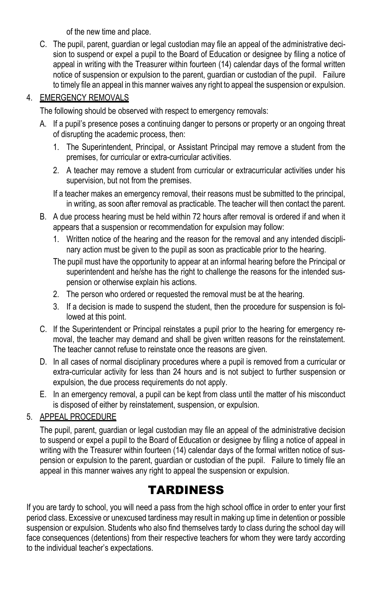of the new time and place.

C. The pupil, parent, guardian or legal custodian may file an appeal of the administrative decision to suspend or expel a pupil to the Board of Education or designee by filing a notice of appeal in writing with the Treasurer within fourteen (14) calendar days of the formal written notice of suspension or expulsion to the parent, guardian or custodian of the pupil. Failure to timely file an appeal in this manner waives any right to appeal the suspension or expulsion.

### 4. EMERGENCY REMOVALS

The following should be observed with respect to emergency removals:

- A. If a pupil's presence poses a continuing danger to persons or property or an ongoing threat of disrupting the academic process, then:
	- 1. The Superintendent, Principal, or Assistant Principal may remove a student from the premises, for curricular or extra-curricular activities.
	- 2. A teacher may remove a student from curricular or extracurricular activities under his supervision, but not from the premises.
	- If a teacher makes an emergency removal, their reasons must be submitted to the principal, in writing, as soon after removal as practicable. The teacher will then contact the parent.
- B. A due process hearing must be held within 72 hours after removal is ordered if and when it appears that a suspension or recommendation for expulsion may follow:
	- 1. Written notice of the hearing and the reason for the removal and any intended disciplinary action must be given to the pupil as soon as practicable prior to the hearing.
	- The pupil must have the opportunity to appear at an informal hearing before the Principal or superintendent and he/she has the right to challenge the reasons for the intended suspension or otherwise explain his actions.
	- 2. The person who ordered or requested the removal must be at the hearing.
	- 3. If a decision is made to suspend the student, then the procedure for suspension is followed at this point.
- C. If the Superintendent or Principal reinstates a pupil prior to the hearing for emergency removal, the teacher may demand and shall be given written reasons for the reinstatement. The teacher cannot refuse to reinstate once the reasons are given.
- D. In all cases of normal disciplinary procedures where a pupil is removed from a curricular or extra-curricular activity for less than 24 hours and is not subject to further suspension or expulsion, the due process requirements do not apply.
- E. In an emergency removal, a pupil can be kept from class until the matter of his misconduct is disposed of either by reinstatement, suspension, or expulsion.

### 5. APPEAL PROCEDURE

The pupil, parent, guardian or legal custodian may file an appeal of the administrative decision to suspend or expel a pupil to the Board of Education or designee by filing a notice of appeal in writing with the Treasurer within fourteen (14) calendar days of the formal written notice of suspension or expulsion to the parent, guardian or custodian of the pupil. Failure to timely file an appeal in this manner waives any right to appeal the suspension or expulsion.

## TARDINESS

If you are tardy to school, you will need a pass from the high school office in order to enter your first period class. Excessive or unexcused tardiness may result in making up time in detention or possible suspension or expulsion. Students who also find themselves tardy to class during the school day will face consequences (detentions) from their respective teachers for whom they were tardy according to the individual teacher's expectations.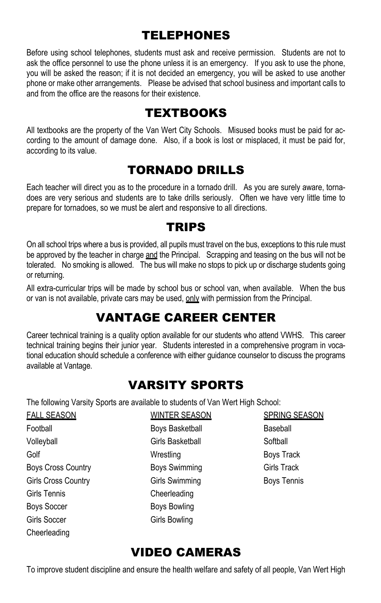## TELEPHONES

Before using school telephones, students must ask and receive permission. Students are not to ask the office personnel to use the phone unless it is an emergency. If you ask to use the phone, you will be asked the reason; if it is not decided an emergency, you will be asked to use another phone or make other arrangements. Please be advised that school business and important calls to and from the office are the reasons for their existence.

## TEXTBOOKS

All textbooks are the property of the Van Wert City Schools. Misused books must be paid for according to the amount of damage done. Also, if a book is lost or misplaced, it must be paid for, according to its value.

## TORNADO DRILLS

Each teacher will direct you as to the procedure in a tornado drill. As you are surely aware, tornadoes are very serious and students are to take drills seriously. Often we have very little time to prepare for tornadoes, so we must be alert and responsive to all directions.

## TRIPS

On all school trips where a bus is provided, all pupils must travel on the bus, exceptions to this rule must be approved by the teacher in charge and the Principal. Scrapping and teasing on the bus will not be tolerated. No smoking is allowed. The bus will make no stops to pick up or discharge students going or returning.

All extra-curricular trips will be made by school bus or school van, when available. When the bus or van is not available, private cars may be used, only with permission from the Principal.

# VANTAGE CAREER CENTER

Career technical training is a quality option available for our students who attend VWHS. This career technical training begins their junior year. Students interested in a comprehensive program in vocational education should schedule a conference with either guidance counselor to discuss the programs available at Vantage.

## VARSITY SPORTS

The following Varsity Sports are available to students of Van Wert High School:

| <b>FALL SEASON</b>         | <b>WINTER SEASON</b> | <b>SPRING SEASON</b> |
|----------------------------|----------------------|----------------------|
| Football                   | Boys Basketball      | Baseball             |
| Volleyball                 | Girls Basketball     | Softball             |
| Golf                       | Wrestling            | Boys Track           |
| <b>Boys Cross Country</b>  | <b>Boys Swimming</b> | <b>Girls Track</b>   |
| <b>Girls Cross Country</b> | Girls Swimming       | <b>Boys Tennis</b>   |
| Girls Tennis               | Cheerleading         |                      |
| <b>Boys Soccer</b>         | Boys Bowling         |                      |
| Girls Soccer               | Girls Bowling        |                      |
| Cheerleading               |                      |                      |

# VIDEO CAMERAS

To improve student discipline and ensure the health welfare and safety of all people, Van Wert High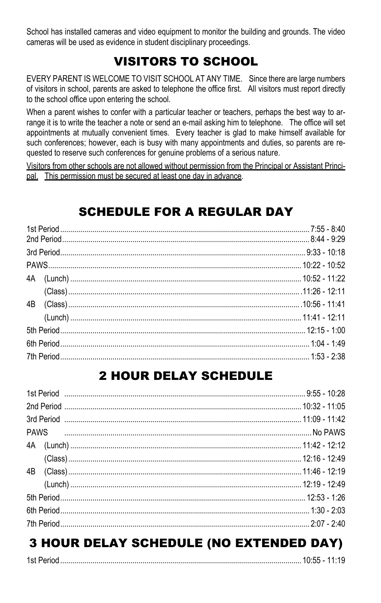School has installed cameras and video equipment to monitor the building and grounds. The video cameras will be used as evidence in student disciplinary proceedings.

# VISITORS TO SCHOOL

EVERY PARENT IS WELCOME TO VISIT SCHOOL AT ANY TIME. Since there are large numbers of visitors in school, parents are asked to telephone the office first. All visitors must report directly to the school office upon entering the school.

When a parent wishes to confer with a particular teacher or teachers, perhaps the best way to arrange it is to write the teacher a note or send an e-mail asking him to telephone. The office will set appointments at mutually convenient times. Every teacher is glad to make himself available for such conferences; however, each is busy with many appointments and duties, so parents are requested to reserve such conferences for genuine problems of a serious nature.

Visitors from other schools are not allowed without permission from the Principal or Assistant Principal. This permission must be secured at least one day in advance.

# SCHEDULE FOR A REGULAR DAY

## 2 HOUR DELAY SCHEDULE

# 3 HOUR DELAY SCHEDULE (NO EXTENDED DAY)

|--|--|